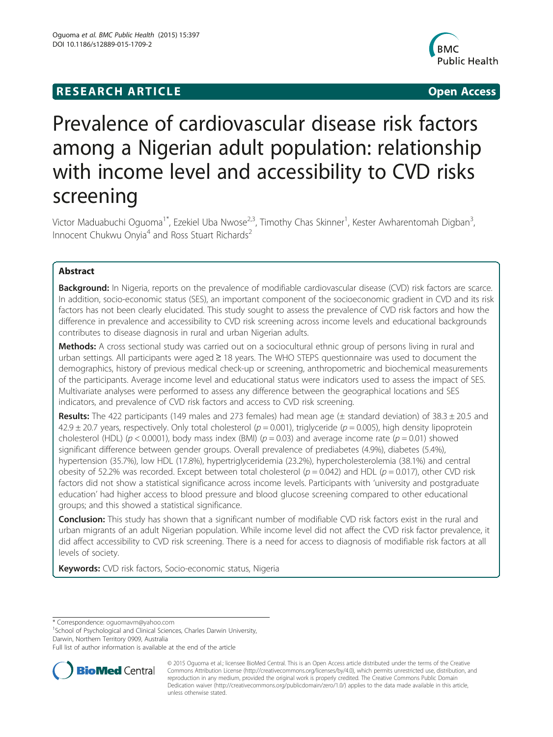## **RESEARCH ARTICLE Example 2018 12:00 Department of the Contract Open Access**



# Prevalence of cardiovascular disease risk factors among a Nigerian adult population: relationship with income level and accessibility to CVD risks screening

Victor Maduabuchi Oguoma<sup>1\*</sup>, Ezekiel Uba Nwose<sup>2,3</sup>, Timothy Chas Skinner<sup>1</sup>, Kester Awharentomah Digban<sup>3</sup> , Innocent Chukwu Onyia<sup>4</sup> and Ross Stuart Richards<sup>2</sup>

## Abstract

Background: In Nigeria, reports on the prevalence of modifiable cardiovascular disease (CVD) risk factors are scarce. In addition, socio-economic status (SES), an important component of the socioeconomic gradient in CVD and its risk factors has not been clearly elucidated. This study sought to assess the prevalence of CVD risk factors and how the difference in prevalence and accessibility to CVD risk screening across income levels and educational backgrounds contributes to disease diagnosis in rural and urban Nigerian adults.

Methods: A cross sectional study was carried out on a sociocultural ethnic group of persons living in rural and urban settings. All participants were aged ≥ 18 years. The WHO STEPS questionnaire was used to document the demographics, history of previous medical check-up or screening, anthropometric and biochemical measurements of the participants. Average income level and educational status were indicators used to assess the impact of SES. Multivariate analyses were performed to assess any difference between the geographical locations and SES indicators, and prevalence of CVD risk factors and access to CVD risk screening.

Results: The 422 participants (149 males and 273 females) had mean age ( $\pm$  standard deviation) of 38.3  $\pm$  20.5 and  $42.9 \pm 20.7$  years, respectively. Only total cholesterol ( $p = 0.001$ ), triglyceride ( $p = 0.005$ ), high density lipoprotein cholesterol (HDL) ( $p < 0.0001$ ), body mass index (BMI) ( $p = 0.03$ ) and average income rate ( $p = 0.01$ ) showed significant difference between gender groups. Overall prevalence of prediabetes (4.9%), diabetes (5.4%), hypertension (35.7%), low HDL (17.8%), hypertriglyceridemia (23.2%), hypercholesterolemia (38.1%) and central obesity of 52.2% was recorded. Except between total cholesterol ( $p = 0.042$ ) and HDL ( $p = 0.017$ ), other CVD risk factors did not show a statistical significance across income levels. Participants with 'university and postgraduate education' had higher access to blood pressure and blood glucose screening compared to other educational groups; and this showed a statistical significance.

**Conclusion:** This study has shown that a significant number of modifiable CVD risk factors exist in the rural and urban migrants of an adult Nigerian population. While income level did not affect the CVD risk factor prevalence, it did affect accessibility to CVD risk screening. There is a need for access to diagnosis of modifiable risk factors at all levels of society.

Keywords: CVD risk factors, Socio-economic status, Nigeria

\* Correspondence: [oguomavm@yahoo.com](mailto:oguomavm@yahoo.com) <sup>1</sup>

<sup>1</sup>School of Psychological and Clinical Sciences, Charles Darwin University, Darwin, Northern Territory 0909, Australia

Full list of author information is available at the end of the article



<sup>© 2015</sup> Oguoma et al.; licensee BioMed Central. This is an Open Access article distributed under the terms of the Creative Commons Attribution License [\(http://creativecommons.org/licenses/by/4.0\)](http://creativecommons.org/licenses/by/4.0), which permits unrestricted use, distribution, and reproduction in any medium, provided the original work is properly credited. The Creative Commons Public Domain Dedication waiver [\(http://creativecommons.org/publicdomain/zero/1.0/](http://creativecommons.org/publicdomain/zero/1.0/)) applies to the data made available in this article, unless otherwise stated.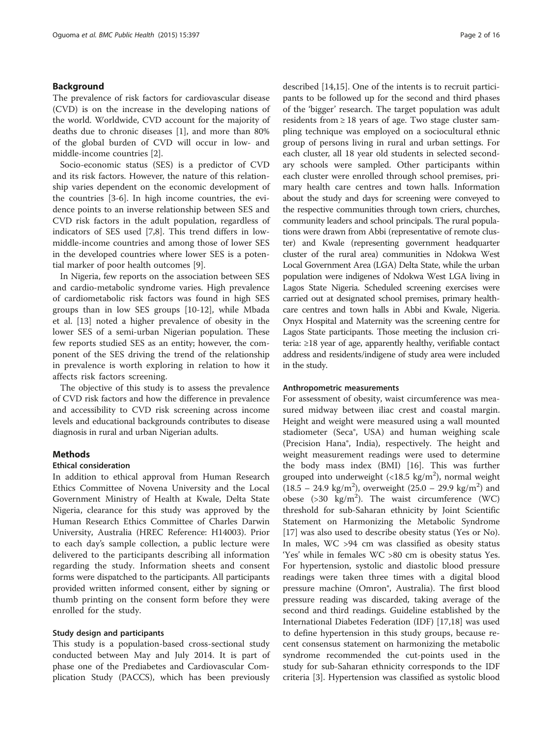#### Background

The prevalence of risk factors for cardiovascular disease (CVD) is on the increase in the developing nations of the world. Worldwide, CVD account for the majority of deaths due to chronic diseases [[1\]](#page-14-0), and more than 80% of the global burden of CVD will occur in low- and middle-income countries [\[2](#page-14-0)].

Socio-economic status (SES) is a predictor of CVD and its risk factors. However, the nature of this relationship varies dependent on the economic development of the countries [[3-6](#page-14-0)]. In high income countries, the evidence points to an inverse relationship between SES and CVD risk factors in the adult population, regardless of indicators of SES used [[7,8\]](#page-14-0). This trend differs in lowmiddle-income countries and among those of lower SES in the developed countries where lower SES is a potential marker of poor health outcomes [\[9](#page-14-0)].

In Nigeria, few reports on the association between SES and cardio-metabolic syndrome varies. High prevalence of cardiometabolic risk factors was found in high SES groups than in low SES groups [\[10-12](#page-14-0)], while Mbada et al. [[13\]](#page-14-0) noted a higher prevalence of obesity in the lower SES of a semi-urban Nigerian population. These few reports studied SES as an entity; however, the component of the SES driving the trend of the relationship in prevalence is worth exploring in relation to how it affects risk factors screening.

The objective of this study is to assess the prevalence of CVD risk factors and how the difference in prevalence and accessibility to CVD risk screening across income levels and educational backgrounds contributes to disease diagnosis in rural and urban Nigerian adults.

## Methods

#### Ethical consideration

In addition to ethical approval from Human Research Ethics Committee of Novena University and the Local Government Ministry of Health at Kwale, Delta State Nigeria, clearance for this study was approved by the Human Research Ethics Committee of Charles Darwin University, Australia (HREC Reference: H14003). Prior to each day's sample collection, a public lecture were delivered to the participants describing all information regarding the study. Information sheets and consent forms were dispatched to the participants. All participants provided written informed consent, either by signing or thumb printing on the consent form before they were enrolled for the study.

#### Study design and participants

This study is a population-based cross-sectional study conducted between May and July 2014. It is part of phase one of the Prediabetes and Cardiovascular Complication Study (PACCS), which has been previously described [[14](#page-14-0),[15](#page-14-0)]. One of the intents is to recruit participants to be followed up for the second and third phases of the 'bigger' research. The target population was adult residents from  $\geq 18$  years of age. Two stage cluster sampling technique was employed on a sociocultural ethnic group of persons living in rural and urban settings. For each cluster, all 18 year old students in selected secondary schools were sampled. Other participants within each cluster were enrolled through school premises, primary health care centres and town halls. Information about the study and days for screening were conveyed to the respective communities through town criers, churches, community leaders and school principals. The rural populations were drawn from Abbi (representative of remote cluster) and Kwale (representing government headquarter cluster of the rural area) communities in Ndokwa West Local Government Area (LGA) Delta State, while the urban population were indigenes of Ndokwa West LGA living in Lagos State Nigeria. Scheduled screening exercises were carried out at designated school premises, primary healthcare centres and town halls in Abbi and Kwale, Nigeria. Onyx Hospital and Maternity was the screening centre for Lagos State participants. Those meeting the inclusion criteria: ≥18 year of age, apparently healthy, verifiable contact address and residents/indigene of study area were included in the study.

#### Anthropometric measurements

For assessment of obesity, waist circumference was measured midway between iliac crest and coastal margin. Height and weight were measured using a wall mounted stadiometer (Seca®, USA) and human weighing scale (Precision Hana®, India), respectively. The height and weight measurement readings were used to determine the body mass index (BMI) [[16](#page-14-0)]. This was further grouped into underweight  $\left($  <18.5 kg/m<sup>2</sup>), normal weight  $(18.5 - 24.9 \text{ kg/m}^2)$ , overweight  $(25.0 - 29.9 \text{ kg/m}^2)$  and obese (>30  $\text{kg/m}^2$ ). The waist circumference (WC) threshold for sub-Saharan ethnicity by Joint Scientific Statement on Harmonizing the Metabolic Syndrome [[17\]](#page-14-0) was also used to describe obesity status (Yes or No). In males, WC >94 cm was classified as obesity status 'Yes' while in females WC >80 cm is obesity status Yes. For hypertension, systolic and diastolic blood pressure readings were taken three times with a digital blood pressure machine (Omron®, Australia). The first blood pressure reading was discarded, taking average of the second and third readings. Guideline established by the International Diabetes Federation (IDF) [[17](#page-14-0),[18](#page-14-0)] was used to define hypertension in this study groups, because recent consensus statement on harmonizing the metabolic syndrome recommended the cut-points used in the study for sub-Saharan ethnicity corresponds to the IDF criteria [\[3\]](#page-14-0). Hypertension was classified as systolic blood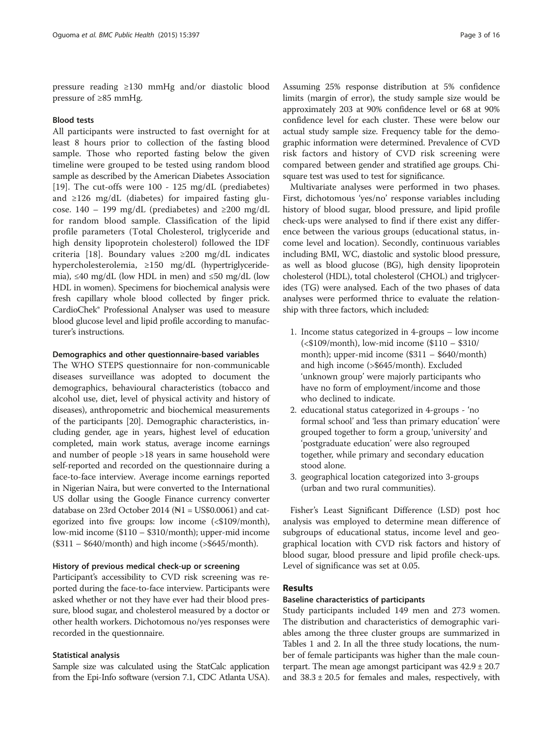pressure reading ≥130 mmHg and/or diastolic blood pressure of ≥85 mmHg.

## Blood tests

All participants were instructed to fast overnight for at least 8 hours prior to collection of the fasting blood sample. Those who reported fasting below the given timeline were grouped to be tested using random blood sample as described by the American Diabetes Association [[19\]](#page-14-0). The cut-offs were 100 - 125 mg/dL (prediabetes) and  $\geq$ 126 mg/dL (diabetes) for impaired fasting glucose.  $140 - 199$  mg/dL (prediabetes) and  $\geq 200$  mg/dL for random blood sample. Classification of the lipid profile parameters (Total Cholesterol, triglyceride and high density lipoprotein cholesterol) followed the IDF criteria [\[18](#page-14-0)]. Boundary values ≥200 mg/dL indicates hypercholesterolemia, ≥150 mg/dL (hypertriglyceridemia),  $\leq 40$  mg/dL (low HDL in men) and  $\leq 50$  mg/dL (low HDL in women). Specimens for biochemical analysis were fresh capillary whole blood collected by finger prick. CardioChek® Professional Analyser was used to measure blood glucose level and lipid profile according to manufacturer's instructions.

## Demographics and other questionnaire-based variables

The WHO STEPS questionnaire for non-communicable diseases surveillance was adopted to document the demographics, behavioural characteristics (tobacco and alcohol use, diet, level of physical activity and history of diseases), anthropometric and biochemical measurements of the participants [\[20\]](#page-14-0). Demographic characteristics, including gender, age in years, highest level of education completed, main work status, average income earnings and number of people >18 years in same household were self-reported and recorded on the questionnaire during a face-to-face interview. Average income earnings reported in Nigerian Naira, but were converted to the International US dollar using the Google Finance currency converter database on 23rd October 2014 ( $\mathbb{N}1 = \text{US$0.0061}$ ) and categorized into five groups: low income (<\$109/month), low-mid income (\$110 – \$310/month); upper-mid income  $($311 - $640/month)$  and high income (>\$645/month).

#### History of previous medical check-up or screening

Participant's accessibility to CVD risk screening was reported during the face-to-face interview. Participants were asked whether or not they have ever had their blood pressure, blood sugar, and cholesterol measured by a doctor or other health workers. Dichotomous no/yes responses were recorded in the questionnaire.

#### Statistical analysis

Sample size was calculated using the StatCalc application from the Epi-Info software (version 7.1, CDC Atlanta USA).

Assuming 25% response distribution at 5% confidence limits (margin of error), the study sample size would be approximately 203 at 90% confidence level or 68 at 90% confidence level for each cluster. These were below our actual study sample size. Frequency table for the demographic information were determined. Prevalence of CVD risk factors and history of CVD risk screening were compared between gender and stratified age groups. Chisquare test was used to test for significance.

Multivariate analyses were performed in two phases. First, dichotomous 'yes/no' response variables including history of blood sugar, blood pressure, and lipid profile check-ups were analysed to find if there exist any difference between the various groups (educational status, income level and location). Secondly, continuous variables including BMI, WC, diastolic and systolic blood pressure, as well as blood glucose (BG), high density lipoprotein cholesterol (HDL), total cholesterol (CHOL) and triglycerides (TG) were analysed. Each of the two phases of data analyses were performed thrice to evaluate the relationship with three factors, which included:

- 1. Income status categorized in 4-groups low income (<\$109/month), low-mid income (\$110 – \$310/ month); upper-mid income (\$311 – \$640/month) and high income (>\$645/month). Excluded 'unknown group' were majorly participants who have no form of employment/income and those who declined to indicate.
- 2. educational status categorized in 4-groups 'no formal school' and 'less than primary education' were grouped together to form a group, 'university' and 'postgraduate education' were also regrouped together, while primary and secondary education stood alone.
- 3. geographical location categorized into 3-groups (urban and two rural communities).

Fisher's Least Significant Difference (LSD) post hoc analysis was employed to determine mean difference of subgroups of educational status, income level and geographical location with CVD risk factors and history of blood sugar, blood pressure and lipid profile check-ups. Level of significance was set at 0.05.

## Results

## Baseline characteristics of participants

Study participants included 149 men and 273 women. The distribution and characteristics of demographic variables among the three cluster groups are summarized in Tables [1](#page-3-0) and [2.](#page-4-0) In all the three study locations, the number of female participants was higher than the male counterpart. The mean age amongst participant was  $42.9 \pm 20.7$ and  $38.3 \pm 20.5$  for females and males, respectively, with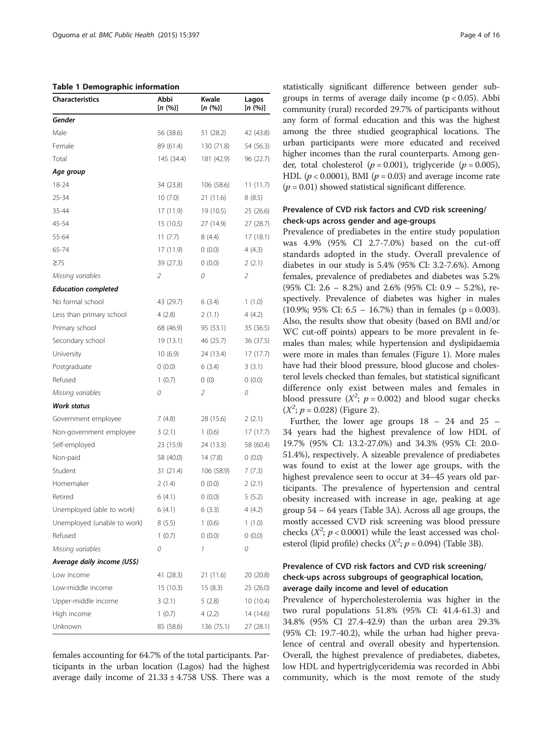<span id="page-3-0"></span>

| Gender<br>Male<br>56 (38.6)<br>51 (28.2)<br>Female<br>89 (61.4)<br>130 (71.8)<br>Total<br>145 (34.4)<br>181 (42.9)<br>Age group<br>18-24<br>34 (23.8)<br>106 (58.6)<br>25-34<br>10(7.0)<br>21 (11.6)<br>8(8.5)<br>35-44<br>17 (11.9)<br>19 (10.5)<br>45-54<br>15 (10.5)<br>27 (14.9)<br>55-64<br>11(7.7)<br>8(4.4)<br>65-74<br>0(0.0)<br>4(4.3)<br>17 (11.9)<br>$\geq 75$<br>0(0.0)<br>2(2.1)<br>39 (27.3)<br>$\overline{2}$<br>0<br>2<br>Missing variables<br><b>Education completed</b><br>No formal school<br>43 (29.7)<br>6(3.4)<br>1(1.0)<br>Less than primary school<br>4(2.8)<br>2(1.1)<br>4(4.2)<br>Primary school<br>68 (46.9)<br>95 (53.1)<br>Secondary school<br>19 (13.1)<br>46 (25.7)<br>University<br>10(6.9)<br>24 (13.4)<br>Postgraduate<br>6(3.4)<br>3(3.1)<br>0(0.0)<br>Refused<br>1(0.7)<br>0(0)<br>0(0.0)<br>Missing variables<br>0<br>2<br>0<br>Work status<br>28 (15.6)<br>Government employee<br>7 (4.8)<br>2(2.1)<br>Non-government employee<br>3(2.1)<br>1(0.6)<br>Self-employed<br>23 (15.9)<br>24 (13.3)<br>Non-paid<br>58 (40.0)<br>14(7.8)<br>0(0.0)<br>Student<br>31(21.4)<br>106 (58.9)<br>7(7.3)<br>Homemaker<br>0(0.0)<br>2(1.4)<br>2(2.1)<br>Retired<br>0(0.0)<br>6(4.1)<br>5(5.2)<br>6(3.3)<br>4(4.2)<br>Unemployed (able to work)<br>6(4.1)<br>Unemployed (unable to work)<br>8(5.5)<br>1(0.6)<br>1(1.0)<br>Refused<br>1(0.7)<br>(0.0)<br>0(0.0)<br>Missing variables<br>0<br>1<br>0<br>Average daily income (US\$)<br>Low income<br>41 (28.3)<br>21(11.6)<br>Low-middle income<br>15(10.3)<br>15(8.3)<br>Upper-middle income<br>3(2.1)<br>5 (2.8)<br>High income<br>1(0.7)<br>4(2.2)<br>Unknown<br>85 (58.6)<br>136 (75.1) | <b>Characteristics</b> | Abbi<br>[n (%)] | Kwale<br>[n (%)] | Lagos<br>[n (%)] |
|-----------------------------------------------------------------------------------------------------------------------------------------------------------------------------------------------------------------------------------------------------------------------------------------------------------------------------------------------------------------------------------------------------------------------------------------------------------------------------------------------------------------------------------------------------------------------------------------------------------------------------------------------------------------------------------------------------------------------------------------------------------------------------------------------------------------------------------------------------------------------------------------------------------------------------------------------------------------------------------------------------------------------------------------------------------------------------------------------------------------------------------------------------------------------------------------------------------------------------------------------------------------------------------------------------------------------------------------------------------------------------------------------------------------------------------------------------------------------------------------------------------------------------------------------------------------------------------------------------------------------------------------------------------------|------------------------|-----------------|------------------|------------------|
|                                                                                                                                                                                                                                                                                                                                                                                                                                                                                                                                                                                                                                                                                                                                                                                                                                                                                                                                                                                                                                                                                                                                                                                                                                                                                                                                                                                                                                                                                                                                                                                                                                                                 |                        |                 |                  |                  |
|                                                                                                                                                                                                                                                                                                                                                                                                                                                                                                                                                                                                                                                                                                                                                                                                                                                                                                                                                                                                                                                                                                                                                                                                                                                                                                                                                                                                                                                                                                                                                                                                                                                                 |                        |                 |                  | 42 (43.8)        |
|                                                                                                                                                                                                                                                                                                                                                                                                                                                                                                                                                                                                                                                                                                                                                                                                                                                                                                                                                                                                                                                                                                                                                                                                                                                                                                                                                                                                                                                                                                                                                                                                                                                                 |                        |                 |                  | 54 (56.3)        |
|                                                                                                                                                                                                                                                                                                                                                                                                                                                                                                                                                                                                                                                                                                                                                                                                                                                                                                                                                                                                                                                                                                                                                                                                                                                                                                                                                                                                                                                                                                                                                                                                                                                                 |                        |                 |                  | 96 (22.7)        |
|                                                                                                                                                                                                                                                                                                                                                                                                                                                                                                                                                                                                                                                                                                                                                                                                                                                                                                                                                                                                                                                                                                                                                                                                                                                                                                                                                                                                                                                                                                                                                                                                                                                                 |                        |                 |                  |                  |
|                                                                                                                                                                                                                                                                                                                                                                                                                                                                                                                                                                                                                                                                                                                                                                                                                                                                                                                                                                                                                                                                                                                                                                                                                                                                                                                                                                                                                                                                                                                                                                                                                                                                 |                        |                 |                  | 11(11.7)         |
|                                                                                                                                                                                                                                                                                                                                                                                                                                                                                                                                                                                                                                                                                                                                                                                                                                                                                                                                                                                                                                                                                                                                                                                                                                                                                                                                                                                                                                                                                                                                                                                                                                                                 |                        |                 |                  |                  |
|                                                                                                                                                                                                                                                                                                                                                                                                                                                                                                                                                                                                                                                                                                                                                                                                                                                                                                                                                                                                                                                                                                                                                                                                                                                                                                                                                                                                                                                                                                                                                                                                                                                                 |                        |                 |                  | 25 (26.6)        |
|                                                                                                                                                                                                                                                                                                                                                                                                                                                                                                                                                                                                                                                                                                                                                                                                                                                                                                                                                                                                                                                                                                                                                                                                                                                                                                                                                                                                                                                                                                                                                                                                                                                                 |                        |                 |                  | 27 (28.7)        |
|                                                                                                                                                                                                                                                                                                                                                                                                                                                                                                                                                                                                                                                                                                                                                                                                                                                                                                                                                                                                                                                                                                                                                                                                                                                                                                                                                                                                                                                                                                                                                                                                                                                                 |                        |                 |                  | 17(18.1)         |
|                                                                                                                                                                                                                                                                                                                                                                                                                                                                                                                                                                                                                                                                                                                                                                                                                                                                                                                                                                                                                                                                                                                                                                                                                                                                                                                                                                                                                                                                                                                                                                                                                                                                 |                        |                 |                  |                  |
|                                                                                                                                                                                                                                                                                                                                                                                                                                                                                                                                                                                                                                                                                                                                                                                                                                                                                                                                                                                                                                                                                                                                                                                                                                                                                                                                                                                                                                                                                                                                                                                                                                                                 |                        |                 |                  |                  |
|                                                                                                                                                                                                                                                                                                                                                                                                                                                                                                                                                                                                                                                                                                                                                                                                                                                                                                                                                                                                                                                                                                                                                                                                                                                                                                                                                                                                                                                                                                                                                                                                                                                                 |                        |                 |                  |                  |
|                                                                                                                                                                                                                                                                                                                                                                                                                                                                                                                                                                                                                                                                                                                                                                                                                                                                                                                                                                                                                                                                                                                                                                                                                                                                                                                                                                                                                                                                                                                                                                                                                                                                 |                        |                 |                  |                  |
|                                                                                                                                                                                                                                                                                                                                                                                                                                                                                                                                                                                                                                                                                                                                                                                                                                                                                                                                                                                                                                                                                                                                                                                                                                                                                                                                                                                                                                                                                                                                                                                                                                                                 |                        |                 |                  |                  |
|                                                                                                                                                                                                                                                                                                                                                                                                                                                                                                                                                                                                                                                                                                                                                                                                                                                                                                                                                                                                                                                                                                                                                                                                                                                                                                                                                                                                                                                                                                                                                                                                                                                                 |                        |                 |                  |                  |
|                                                                                                                                                                                                                                                                                                                                                                                                                                                                                                                                                                                                                                                                                                                                                                                                                                                                                                                                                                                                                                                                                                                                                                                                                                                                                                                                                                                                                                                                                                                                                                                                                                                                 |                        |                 |                  | 35 (36.5)        |
|                                                                                                                                                                                                                                                                                                                                                                                                                                                                                                                                                                                                                                                                                                                                                                                                                                                                                                                                                                                                                                                                                                                                                                                                                                                                                                                                                                                                                                                                                                                                                                                                                                                                 |                        |                 |                  | 36 (37.5)        |
|                                                                                                                                                                                                                                                                                                                                                                                                                                                                                                                                                                                                                                                                                                                                                                                                                                                                                                                                                                                                                                                                                                                                                                                                                                                                                                                                                                                                                                                                                                                                                                                                                                                                 |                        |                 |                  | 17(17.7)         |
|                                                                                                                                                                                                                                                                                                                                                                                                                                                                                                                                                                                                                                                                                                                                                                                                                                                                                                                                                                                                                                                                                                                                                                                                                                                                                                                                                                                                                                                                                                                                                                                                                                                                 |                        |                 |                  |                  |
|                                                                                                                                                                                                                                                                                                                                                                                                                                                                                                                                                                                                                                                                                                                                                                                                                                                                                                                                                                                                                                                                                                                                                                                                                                                                                                                                                                                                                                                                                                                                                                                                                                                                 |                        |                 |                  |                  |
|                                                                                                                                                                                                                                                                                                                                                                                                                                                                                                                                                                                                                                                                                                                                                                                                                                                                                                                                                                                                                                                                                                                                                                                                                                                                                                                                                                                                                                                                                                                                                                                                                                                                 |                        |                 |                  |                  |
|                                                                                                                                                                                                                                                                                                                                                                                                                                                                                                                                                                                                                                                                                                                                                                                                                                                                                                                                                                                                                                                                                                                                                                                                                                                                                                                                                                                                                                                                                                                                                                                                                                                                 |                        |                 |                  |                  |
|                                                                                                                                                                                                                                                                                                                                                                                                                                                                                                                                                                                                                                                                                                                                                                                                                                                                                                                                                                                                                                                                                                                                                                                                                                                                                                                                                                                                                                                                                                                                                                                                                                                                 |                        |                 |                  |                  |
|                                                                                                                                                                                                                                                                                                                                                                                                                                                                                                                                                                                                                                                                                                                                                                                                                                                                                                                                                                                                                                                                                                                                                                                                                                                                                                                                                                                                                                                                                                                                                                                                                                                                 |                        |                 |                  | 17(17.7)         |
|                                                                                                                                                                                                                                                                                                                                                                                                                                                                                                                                                                                                                                                                                                                                                                                                                                                                                                                                                                                                                                                                                                                                                                                                                                                                                                                                                                                                                                                                                                                                                                                                                                                                 |                        |                 |                  | 58 (60.4)        |
|                                                                                                                                                                                                                                                                                                                                                                                                                                                                                                                                                                                                                                                                                                                                                                                                                                                                                                                                                                                                                                                                                                                                                                                                                                                                                                                                                                                                                                                                                                                                                                                                                                                                 |                        |                 |                  |                  |
|                                                                                                                                                                                                                                                                                                                                                                                                                                                                                                                                                                                                                                                                                                                                                                                                                                                                                                                                                                                                                                                                                                                                                                                                                                                                                                                                                                                                                                                                                                                                                                                                                                                                 |                        |                 |                  |                  |
|                                                                                                                                                                                                                                                                                                                                                                                                                                                                                                                                                                                                                                                                                                                                                                                                                                                                                                                                                                                                                                                                                                                                                                                                                                                                                                                                                                                                                                                                                                                                                                                                                                                                 |                        |                 |                  |                  |
|                                                                                                                                                                                                                                                                                                                                                                                                                                                                                                                                                                                                                                                                                                                                                                                                                                                                                                                                                                                                                                                                                                                                                                                                                                                                                                                                                                                                                                                                                                                                                                                                                                                                 |                        |                 |                  |                  |
|                                                                                                                                                                                                                                                                                                                                                                                                                                                                                                                                                                                                                                                                                                                                                                                                                                                                                                                                                                                                                                                                                                                                                                                                                                                                                                                                                                                                                                                                                                                                                                                                                                                                 |                        |                 |                  |                  |
|                                                                                                                                                                                                                                                                                                                                                                                                                                                                                                                                                                                                                                                                                                                                                                                                                                                                                                                                                                                                                                                                                                                                                                                                                                                                                                                                                                                                                                                                                                                                                                                                                                                                 |                        |                 |                  |                  |
|                                                                                                                                                                                                                                                                                                                                                                                                                                                                                                                                                                                                                                                                                                                                                                                                                                                                                                                                                                                                                                                                                                                                                                                                                                                                                                                                                                                                                                                                                                                                                                                                                                                                 |                        |                 |                  |                  |
|                                                                                                                                                                                                                                                                                                                                                                                                                                                                                                                                                                                                                                                                                                                                                                                                                                                                                                                                                                                                                                                                                                                                                                                                                                                                                                                                                                                                                                                                                                                                                                                                                                                                 |                        |                 |                  |                  |
|                                                                                                                                                                                                                                                                                                                                                                                                                                                                                                                                                                                                                                                                                                                                                                                                                                                                                                                                                                                                                                                                                                                                                                                                                                                                                                                                                                                                                                                                                                                                                                                                                                                                 |                        |                 |                  |                  |
|                                                                                                                                                                                                                                                                                                                                                                                                                                                                                                                                                                                                                                                                                                                                                                                                                                                                                                                                                                                                                                                                                                                                                                                                                                                                                                                                                                                                                                                                                                                                                                                                                                                                 |                        |                 |                  | 20 (20.8)        |
|                                                                                                                                                                                                                                                                                                                                                                                                                                                                                                                                                                                                                                                                                                                                                                                                                                                                                                                                                                                                                                                                                                                                                                                                                                                                                                                                                                                                                                                                                                                                                                                                                                                                 |                        |                 |                  | 25 (26.0)        |
|                                                                                                                                                                                                                                                                                                                                                                                                                                                                                                                                                                                                                                                                                                                                                                                                                                                                                                                                                                                                                                                                                                                                                                                                                                                                                                                                                                                                                                                                                                                                                                                                                                                                 |                        |                 |                  | 10 (10.4)        |
|                                                                                                                                                                                                                                                                                                                                                                                                                                                                                                                                                                                                                                                                                                                                                                                                                                                                                                                                                                                                                                                                                                                                                                                                                                                                                                                                                                                                                                                                                                                                                                                                                                                                 |                        |                 |                  | 14 (14.6)        |
|                                                                                                                                                                                                                                                                                                                                                                                                                                                                                                                                                                                                                                                                                                                                                                                                                                                                                                                                                                                                                                                                                                                                                                                                                                                                                                                                                                                                                                                                                                                                                                                                                                                                 |                        |                 |                  | 27 (28.1)        |

females accounting for 64.7% of the total participants. Participants in the urban location (Lagos) had the highest average daily income of  $21.33 \pm 4.758$  US\$. There was a statistically significant difference between gender subgroups in terms of average daily income  $(p < 0.05)$ . Abbi community (rural) recorded 29.7% of participants without any form of formal education and this was the highest among the three studied geographical locations. The urban participants were more educated and received higher incomes than the rural counterparts. Among gender, total cholesterol ( $p = 0.001$ ), triglyceride ( $p = 0.005$ ), HDL ( $p < 0.0001$ ), BMI ( $p = 0.03$ ) and average income rate  $(p = 0.01)$  showed statistical significant difference.

## Prevalence of CVD risk factors and CVD risk screening/ check-ups across gender and age-groups

Prevalence of prediabetes in the entire study population was 4.9% (95% CI 2.7-7.0%) based on the cut-off standards adopted in the study. Overall prevalence of diabetes in our study is 5.4% (95% CI: 3.2-7.6%). Among females, prevalence of prediabetes and diabetes was 5.2% (95% CI: 2.6 – 8.2%) and 2.6% (95% CI: 0.9 – 5.2%), respectively. Prevalence of diabetes was higher in males (10.9%; 95% CI:  $6.5 - 16.7%$ ) than in females (p = 0.003). Also, the results show that obesity (based on BMI and/or WC cut-off points) appears to be more prevalent in females than males; while hypertension and dyslipidaemia were more in males than females (Figure [1](#page-4-0)). More males have had their blood pressure, blood glucose and cholesterol levels checked than females, but statistical significant difference only exist between males and females in blood pressure ( $X^2$ ;  $p = 0.002$ ) and blood sugar checks  $(X^2; p = 0.028)$  (Figure [2](#page-5-0)).

Further, the lower age groups 18 – 24 and 25 – 34 years had the highest prevalence of low HDL of 19.7% (95% CI: 13.2-27.0%) and 34.3% (95% CI: 20.0- 51.4%), respectively. A sizeable prevalence of prediabetes was found to exist at the lower age groups, with the highest prevalence seen to occur at 34–45 years old participants. The prevalence of hypertension and central obesity increased with increase in age, peaking at age group 54 – 64 years (Table [3](#page-6-0)A). Across all age groups, the mostly accessed CVD risk screening was blood pressure checks  $(X^2; p < 0.0001)$  while the least accessed was cholesterol (lipid profile) checks  $(X^2; p = 0.094)$  (Table [3B](#page-6-0)).

## Prevalence of CVD risk factors and CVD risk screening/ check-ups across subgroups of geographical location, average daily income and level of education

Prevalence of hypercholesterolemia was higher in the two rural populations 51.8% (95% CI: 41.4-61.3) and 34.8% (95% CI 27.4-42.9) than the urban area 29.3% (95% CI: 19.7-40.2), while the urban had higher prevalence of central and overall obesity and hypertension. Overall, the highest prevalence of prediabetes, diabetes, low HDL and hypertriglyceridemia was recorded in Abbi community, which is the most remote of the study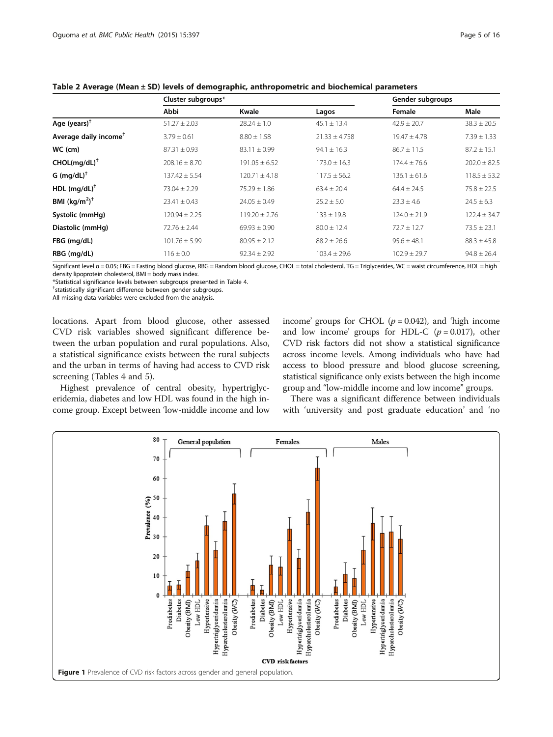|                                   |                   | Cluster subgroups* |                   |                  | Gender subgroups |  |
|-----------------------------------|-------------------|--------------------|-------------------|------------------|------------------|--|
|                                   | Abbi              | Kwale              | Lagos             | Female           | Male             |  |
| Age $(years)^{T}$                 | $51.27 \pm 2.03$  | $28.24 \pm 1.0$    | $45.1 \pm 13.4$   | $42.9 \pm 20.7$  | $38.3 \pm 20.5$  |  |
| Average daily income <sup>+</sup> | $3.79 \pm 0.61$   | $8.80 \pm 1.58$    | $21.33 \pm 4.758$ | $19.47 \pm 4.78$ | $7.39 \pm 1.33$  |  |
| WC (cm)                           | $87.31 \pm 0.93$  | $83.11 \pm 0.99$   | $94.1 \pm 16.3$   | $86.7 \pm 11.5$  | $87.2 \pm 15.1$  |  |
| CHOL(mg/dL) <sup>†</sup>          | $208.16 \pm 8.70$ | $191.05 \pm 6.52$  | $173.0 \pm 16.3$  | $174.4 \pm 76.6$ | $202.0 \pm 82.5$ |  |
| $G$ (mg/dL) <sup>†</sup>          | $137.42 \pm 5.54$ | $120.71 \pm 4.18$  | $117.5 \pm 56.2$  | $136.1 \pm 61.6$ | $118.5 \pm 53.2$ |  |
| HDL $(mq/dL)^{\dagger}$           | $73.04 \pm 2.29$  | $75.29 \pm 1.86$   | $63.4 \pm 20.4$   | $64.4 \pm 24.5$  | $75.8 \pm 22.5$  |  |
| BMI $(kg/m2)†$                    | $23.41 \pm 0.43$  | $74.05 + 0.49$     | $25.2 + 5.0$      | $23.3 + 4.6$     | $24.5 + 6.3$     |  |
| Systolic (mmHg)                   | $120.94 + 2.25$   | $119.20 + 2.76$    | $133 + 19.8$      | $124.0 + 21.9$   | $122.4 + 34.7$   |  |
| Diastolic (mmHg)                  | $72.76 \pm 2.44$  | $69.93 \pm 0.90$   | $80.0 \pm 12.4$   | $72.7 \pm 12.7$  | $73.5 \pm 23.1$  |  |
| FBG (mg/dL)                       | $101.76 \pm 5.99$ | $80.95 \pm 2.12$   | $88.2 \pm 26.6$   | $95.6 \pm 48.1$  | $88.3 \pm 45.8$  |  |
| RBG (mg/dL)                       | $116 \pm 0.0$     | $92.34 \pm 2.92$   | $103.4 \pm 29.6$  | $102.9 \pm 29.7$ | $94.8 \pm 26.4$  |  |

<span id="page-4-0"></span>Table 2 Average (Mean ± SD) levels of demographic, anthropometric and biochemical parameters

Significant level α = 0.05; FBG = Fasting blood glucose, RBG = Random blood glucose, CHOL = total cholesterol, TG = Triglycerides, WC = waist circumference, HDL = high density lipoprotein cholesterol, BMI = body mass index.

\*Statistical significance levels between subgroups presented in Table [4.](#page-7-0) †

<sup>†</sup>statistically significant difference between gender subgroups.

All missing data variables were excluded from the analysis.

locations. Apart from blood glucose, other assessed CVD risk variables showed significant difference between the urban population and rural populations. Also, a statistical significance exists between the rural subjects and the urban in terms of having had access to CVD risk screening (Tables [4](#page-7-0) and [5](#page-8-0)).

Highest prevalence of central obesity, hypertriglyceridemia, diabetes and low HDL was found in the high income group. Except between 'low-middle income and low income' groups for CHOL ( $p = 0.042$ ), and 'high income and low income' groups for HDL-C  $(p = 0.017)$ , other CVD risk factors did not show a statistical significance across income levels. Among individuals who have had access to blood pressure and blood glucose screening, statistical significance only exists between the high income group and "low-middle income and low income" groups.

There was a significant difference between individuals with 'university and post graduate education' and 'no

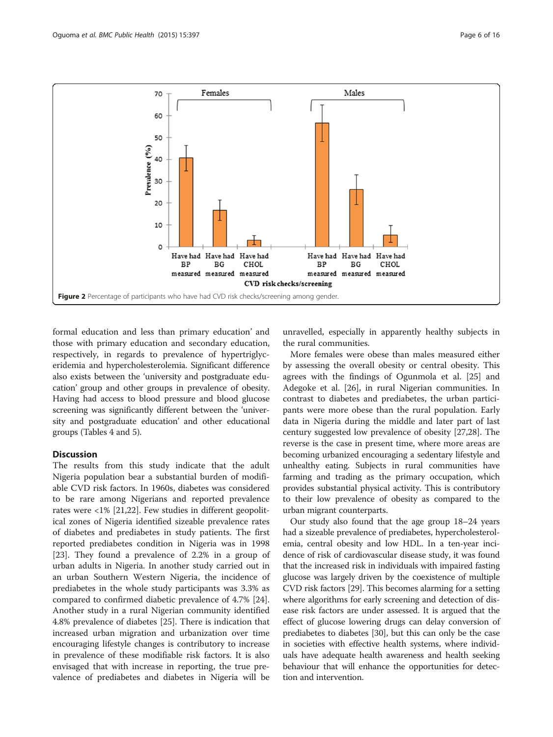<span id="page-5-0"></span>

formal education and less than primary education' and those with primary education and secondary education, respectively, in regards to prevalence of hypertriglyceridemia and hypercholesterolemia. Significant difference also exists between the 'university and postgraduate education' group and other groups in prevalence of obesity. Having had access to blood pressure and blood glucose screening was significantly different between the 'university and postgraduate education' and other educational groups (Tables [4](#page-7-0) and [5](#page-8-0)).

## **Discussion**

The results from this study indicate that the adult Nigeria population bear a substantial burden of modifiable CVD risk factors. In 1960s, diabetes was considered to be rare among Nigerians and reported prevalence rates were <1% [[21,22\]](#page-14-0). Few studies in different geopolitical zones of Nigeria identified sizeable prevalence rates of diabetes and prediabetes in study patients. The first reported prediabetes condition in Nigeria was in 1998 [[23\]](#page-14-0). They found a prevalence of 2.2% in a group of urban adults in Nigeria. In another study carried out in an urban Southern Western Nigeria, the incidence of prediabetes in the whole study participants was 3.3% as compared to confirmed diabetic prevalence of 4.7% [\[24](#page-14-0)]. Another study in a rural Nigerian community identified 4.8% prevalence of diabetes [[25](#page-14-0)]. There is indication that increased urban migration and urbanization over time encouraging lifestyle changes is contributory to increase in prevalence of these modifiable risk factors. It is also envisaged that with increase in reporting, the true prevalence of prediabetes and diabetes in Nigeria will be

unravelled, especially in apparently healthy subjects in the rural communities.

More females were obese than males measured either by assessing the overall obesity or central obesity. This agrees with the findings of Ogunmola et al. [\[25](#page-14-0)] and Adegoke et al. [[26\]](#page-14-0), in rural Nigerian communities. In contrast to diabetes and prediabetes, the urban participants were more obese than the rural population. Early data in Nigeria during the middle and later part of last century suggested low prevalence of obesity [\[27,28\]](#page-14-0). The reverse is the case in present time, where more areas are becoming urbanized encouraging a sedentary lifestyle and unhealthy eating. Subjects in rural communities have farming and trading as the primary occupation, which provides substantial physical activity. This is contributory to their low prevalence of obesity as compared to the urban migrant counterparts.

Our study also found that the age group 18–24 years had a sizeable prevalence of prediabetes, hypercholesterolemia, central obesity and low HDL. In a ten-year incidence of risk of cardiovascular disease study, it was found that the increased risk in individuals with impaired fasting glucose was largely driven by the coexistence of multiple CVD risk factors [[29](#page-14-0)]. This becomes alarming for a setting where algorithms for early screening and detection of disease risk factors are under assessed. It is argued that the effect of glucose lowering drugs can delay conversion of prediabetes to diabetes [\[30\]](#page-15-0), but this can only be the case in societies with effective health systems, where individuals have adequate health awareness and health seeking behaviour that will enhance the opportunities for detection and intervention.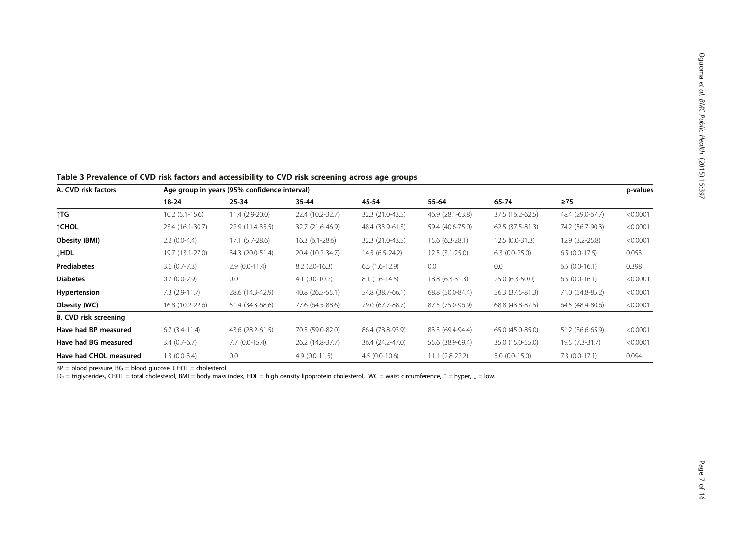Oguoma

| A. CVD risk factors    | Age group in years (95% confidence interval) |                  |                  |                  |                  |                  |                  |          |  |
|------------------------|----------------------------------------------|------------------|------------------|------------------|------------------|------------------|------------------|----------|--|
|                        | $18-24$                                      | $25 - 34$        | 35-44            | 45-54            | 55-64            | 65-74            | $\geq 75$        |          |  |
| ↑TG                    | $10.2(5.1-15.6)$                             | 11.4 (2.9-20.0)  | 22.4 (10.2-32.7) | 32.3 (21.0-43.5) | 46.9 (28.1-63.8) | 37.5 (16.2-62.5) | 48.4 (29.0-67.7) | < 0.0001 |  |
| ↑CHOL                  | 23.4 (16.1-30.7)                             | 22.9 (11.4-35.5) | 32.7 (21.6-46.9) | 48.4 (33.9-61.3) | 59.4 (40.6-75.0) | 62.5 (37.5-81.3) | 74.2 (56.7-90.3) | < 0.0001 |  |
| Obesity (BMI)          | $2.2(0.0-4.4)$                               | 17.1 (5.7-28.6)  | $16.3(6.1-28.6)$ | 32.3 (21.0-43.5) | 15.6 (6.3-28.1)  | $12.5(0.0-31.3)$ | 12.9 (3.2-25.8)  | < 0.0001 |  |
| ⊥HDL                   | 19.7 (13.1-27.0)                             | 34.3 (20.0-51.4) | 20.4 (10.2-34.7) | $14.5(6.5-24.2)$ | $12.5(3.1-25.0)$ | $6.3(0.0-25.0)$  | $6.5(0.0-17.5)$  | 0.053    |  |
| <b>Prediabetes</b>     | $3.6(0.7-7.3)$                               | $2.9(0.0-11.4)$  | $8.2$ (2.0-16.3) | $6.5(1.6-12.9)$  | 0.0              | 0.0              | $6.5(0.0-16.1)$  | 0.398    |  |
| <b>Diabetes</b>        | $0.7(0.0-2.9)$                               | 0.0              | $4.1(0.0-10.2)$  | $8.1(1.6-14.5)$  | 18.8 (6.3-31.3)  | 25.0 (6.3-50.0)  | $6.5(0.0-16.1)$  | < 0.0001 |  |
| Hypertension           | $7.3$ $(2.9-11.7)$                           | 28.6 (14.3-42.9) | 40.8 (26.5-55.1) | 54.8 (38.7-66.1) | 68.8 (50.0-84.4) | 56.3 (37.5-81.3) | 71.0 (54.8-85.2) | < 0.0001 |  |
| Obesity (WC)           | 16.8 (10.2-22.6)                             | 51.4 (34.3-68.6) | 77.6 (64.5-88.6) | 79.0 (67.7-88.7) | 87.5 (75.0-96.9) | 68.8 (43.8-87.5) | 64.5 (48.4-80.6) | < 0.0001 |  |
| B. CVD risk screening  |                                              |                  |                  |                  |                  |                  |                  |          |  |
| Have had BP measured   | $6.7(3.4-11.4)$                              | 43.6 (28.2-61.5) | 70.5 (59.0-82.0) | 86.4 (78.8-93.9) | 83.3 (69.4-94.4) | 65.0 (45.0-85.0) | 51.2 (36.6-65.9) | < 0.0001 |  |
| Have had BG measured   | $3.4(0.7-6.7)$                               | $7.7(0.0-15.4)$  | 26.2 (14.8-37.7) | 36.4 (24.2-47.0) | 55.6 (38.9-69.4) | 35.0 (15.0-55.0) | $19.5(7.3-31.7)$ | < 0.0001 |  |
| Have had CHOL measured | $1.3(0.0-3.4)$                               | 0.0              | $4.9(0.0-11.5)$  | $4.5(0.0-10.6)$  | $11.1(2.8-22.2)$ | $5.0(0.0-15.0)$  | $7.3$ (0.0-17.1) | 0.094    |  |

<span id="page-6-0"></span>Table 3 Prevalence of CVD risk factors and accessibility to CVD risk screening across age groups

 $\overline{BP}$  = blood pressure,  $BG$  = blood glucose, CHOL = cholesterol.

TG = triglycerides, CHOL = total cholesterol, BMI = body mass index, HDL = high density lipoprotein cholesterol, WC = waist circumference, ↑ = hyper, ↓ = low.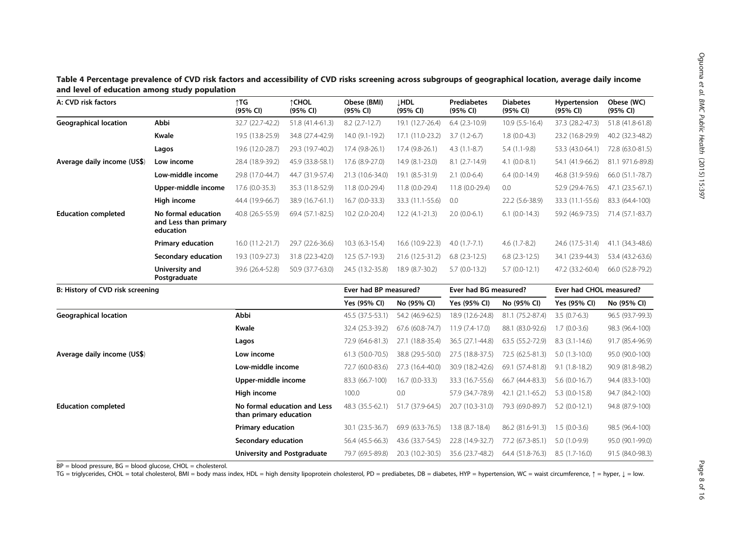<span id="page-7-0"></span>

| Table 4 Percentage prevalence of CVD risk factors and accessibility of CVD risks screening across subgroups of geographical location, average daily income |  |
|------------------------------------------------------------------------------------------------------------------------------------------------------------|--|
| and level of education among study population                                                                                                              |  |

| A: CVD risk factors              |                                                           | ↑TG<br>(95% CI)                    | ↑CHOL<br>(95% CI)            | Obese (BMI)<br>(95% CI) | <b>LHDL</b><br>(95% CI) | <b>Prediabetes</b><br>(95% CI) | <b>Diabetes</b><br>(95% CI) | Hypertension<br>(95% CI) | Obese (WC)<br>(95% CI) |
|----------------------------------|-----------------------------------------------------------|------------------------------------|------------------------------|-------------------------|-------------------------|--------------------------------|-----------------------------|--------------------------|------------------------|
| <b>Geographical location</b>     | Abbi                                                      | 32.7 (22.7-42.2)                   | 51.8 (41.4-61.3)             | $8.2$ (2.7-12.7)        | 19.1 (12.7-26.4)        | $6.4(2.3-10.9)$                | $10.9(5.5-16.4)$            | 37.3 (28.2-47.3)         | 51.8 (41.8-61.8)       |
|                                  | Kwale                                                     | 19.5 (13.8-25.9)                   | 34.8 (27.4-42.9)             | 14.0 (9.1-19.2)         | 17.1 (11.0-23.2)        | $3.7(1.2-6.7)$                 | $1.8(0.0-4.3)$              | 23.2 (16.8-29.9)         | 40.2 (32.3-48.2)       |
|                                  | Lagos                                                     | 19.6 (12.0-28.7)                   | 29.3 (19.7-40.2)             | 17.4 (9.8-26.1)         | 17.4 (9.8-26.1)         | $4.3(1.1-8.7)$                 | $5.4(1.1-9.8)$              | 53.3 (43.0-64.1)         | 72.8 (63.0-81.5)       |
| Average daily income (US\$)      | Low income                                                | 28.4 (18.9-39.2)                   | 45.9 (33.8-58.1)             | 17.6 (8.9-27.0)         | 14.9 (8.1-23.0)         | $8.1(2.7-14.9)$                | $4.1(0.0-8.1)$              | 54.1 (41.9-66.2)         | 81.1 971.6-89.8)       |
|                                  | Low-middle income                                         | 29.8 (17.0-44.7)                   | 44.7 (31.9-57.4)             | 21.3 (10.6-34.0)        | 19.1 (8.5-31.9)         | $2.1(0.0-6.4)$                 | $6.4(0.0-14.9)$             | 46.8 (31.9-59.6)         | 66.0 (51.1-78.7)       |
|                                  | Upper-middle income                                       | 17.6 (0.0-35.3)                    | 35.3 (11.8-52.9)             | 11.8 (0.0-29.4)         | 11.8 (0.0-29.4)         | 11.8 (0.0-29.4)                | 0.0                         | 52.9 (29.4-76.5)         | 47.1 (23.5-67.1)       |
|                                  | High income                                               | 44.4 (19.9-66.7)                   | 38.9 (16.7-61.1)             | 16.7 (0.0-33.3)         | 33.3 (11.1-55.6)        | 0.0                            | 22.2 (5.6-38.9)             | 33.3 (11.1-55.6)         | 83.3 (64.4-100)        |
| <b>Education completed</b>       | No formal education<br>and Less than primary<br>education | 40.8 (26.5-55.9)                   | 69.4 (57.1-82.5)             | 10.2 (2.0-20.4)         | $12.2$ $(4.1 - 21.3)$   | $2.0(0.0-6.1)$                 | $6.1$ (0.0-14.3)            | 59.2 (46.9-73.5)         | 71.4 (57.1-83.7)       |
|                                  | Primary education                                         | 16.0 (11.2-21.7)                   | 29.7 (22.6-36.6)             | $10.3(6.3-15.4)$        | 16.6 (10.9-22.3)        | $4.0(1.7-7.1)$                 | $4.6(1.7-8.2)$              | 24.6 (17.5-31.4)         | 41.1 (34.3-48.6)       |
|                                  | Secondary education                                       | 19.3 (10.9-27.3)                   | 31.8 (22.3-42.0)             | 12.5 (5.7-19.3)         | 21.6 (12.5-31.2)        | $6.8(2.3-12.5)$                | $6.8$ $(2.3-12.5)$          | 34.1 (23.9-44.3)         | 53.4 (43.2-63.6)       |
|                                  | University and<br>Postgraduate                            | 39.6 (26.4-52.8)                   | 50.9 (37.7-63.0)             | 24.5 (13.2-35.8)        | 18.9 (8.7-30.2)         | $5.7(0.0-13.2)$                | $5.7$ (0.0-12.1)            | 47.2 (33.2-60.4)         | 66.0 (52.8-79.2)       |
| B: History of CVD risk screening |                                                           |                                    |                              | Ever had BP measured?   |                         | Ever had BG measured?          |                             | Ever had CHOL measured?  |                        |
|                                  |                                                           |                                    |                              | Yes (95% CI)            | No (95% CI)             | Yes (95% CI)                   | No (95% CI)                 | Yes (95% CI)             | No (95% CI)            |
| <b>Geographical location</b>     |                                                           | Abbi                               |                              | 45.5 (37.5-53.1)        | 54.2 (46.9-62.5)        | 18.9 (12.6-24.8)               | 81.1 (75.2-87.4)            | $3.5(0.7-6.3)$           | 96.5 (93.7-99.3)       |
|                                  |                                                           | Kwale                              |                              | 32.4 (25.3-39.2)        | 67.6 (60.8-74.7)        | 11.9 (7.4-17.0)                | 88.1 (83.0-92.6)            | $1.7(0.0-3.6)$           | 98.3 (96.4-100)        |
|                                  |                                                           | Lagos                              |                              | 72.9 (64.6-81.3)        | 27.1 (18.8-35.4)        | 36.5 (27.1-44.8)               | 63.5 (55.2-72.9)            | $8.3(3.1-14.6)$          | 91.7 (85.4-96.9)       |
| Average daily income (US\$)      |                                                           | Low income                         |                              | 61.3 (50.0-70.5)        | 38.8 (29.5-50.0)        | 27.5 (18.8-37.5)               | 72.5 (62.5-81.3)            | $5.0(1.3-10.0)$          | 95.0 (90.0-100)        |
|                                  |                                                           | Low-middle income                  |                              | 72.7 (60.0-83.6)        | 27.3 (16.4-40.0)        | 30.9 (18.2-42.6)               | 69.1 (57.4-81.8)            | $9.1(1.8-18.2)$          | 90.9 (81.8-98.2)       |
|                                  |                                                           | Upper-middle income                |                              | 83.3 (66.7-100)         | 16.7 (0.0-33.3)         | 33.3 (16.7-55.6)               | 66.7 (44.4-83.3)            | $5.6(0.0-16.7)$          | 94.4 (83.3-100)        |
|                                  |                                                           | High income                        |                              | 100.0                   | 0.0                     | 57.9 (34.7-78.9)               | 42.1 (21.1-65.2)            | $5.3$ (0.0-15.8)         | 94.7 (84.2-100)        |
| <b>Education completed</b>       |                                                           | than primary education             | No formal education and Less | 48.3 (35.5-62.1)        | 51.7 (37.9-64.5)        | 20.7 (10.3-31.0)               | 79.3 (69.0-89.7)            | $5.2$ (0.0-12.1)         | 94.8 (87.9-100)        |
|                                  |                                                           | <b>Primary education</b>           |                              | 30.1 (23.5-36.7)        | 69.9 (63.3-76.5)        | 13.8 (8.7-18.4)                | 86.2 (81.6-91.3)            | $1.5(0.0-3.6)$           | 98.5 (96.4-100)        |
|                                  |                                                           | Secondary education                |                              | 56.4 (45.5-66.3)        | 43.6 (33.7-54.5)        | 22.8 (14.9-32.7)               | 77.2 (67.3-85.1)            | $5.0(1.0-9.9)$           | 95.0 (90.1-99.0)       |
|                                  |                                                           | <b>University and Postgraduate</b> |                              | 79.7 (69.5-89.8)        | 20.3 (10.2-30.5)        | 35.6 (23.7-48.2)               | 64.4 (51.8-76.3)            | $8.5(1.7-16.0)$          | 91.5 (84.0-98.3)       |

BP = blood pressure, BG = blood glucose, CHOL = cholesterol.

TG = triglycerides, CHOL = total cholesterol, BMI = body mass index, HDL = high density lipoprotein cholesterol, PD = prediabetes, DB = diabetes, HYP = hypertension, WC = waist circumference, ↑ = hyper, ↓ = low.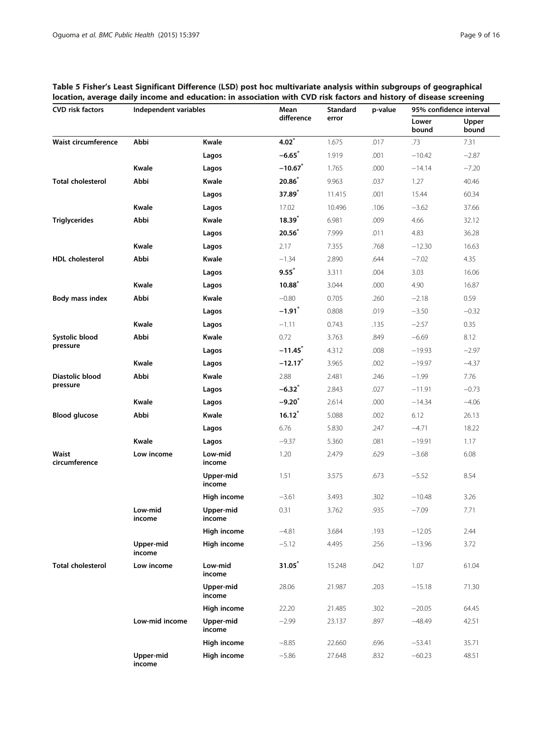<span id="page-8-0"></span>

| <b>CVD</b> risk factors  | Independent variables |                     | Mean                 | Standard | p-value | 95% confidence interval |                |
|--------------------------|-----------------------|---------------------|----------------------|----------|---------|-------------------------|----------------|
|                          |                       |                     | difference           | error    |         | Lower<br>bound          | Upper<br>bound |
| Waist circumference      | Abbi                  | <b>Kwale</b>        | $4.02*$              | 1.675    | .017    | .73                     | 7.31           |
|                          |                       | Lagos               | $-6.65$              | 1.919    | .001    | $-10.42$                | $-2.87$        |
|                          | Kwale                 | Lagos               | $-10.67$             | 1.765    | .000    | $-14.14$                | $-7.20$        |
| <b>Total cholesterol</b> | Abbi                  | Kwale               | 20.86"               | 9.963    | .037    | 1.27                    | 40.46          |
|                          |                       | Lagos               | 37.89                | 11.415   | .001    | 15.44                   | 60.34          |
|                          | Kwale                 | Lagos               | 17.02                | 10.496   | .106    | $-3.62$                 | 37.66          |
| <b>Triglycerides</b>     | Abbi                  | Kwale               | $18.39*$             | 6.981    | .009    | 4.66                    | 32.12          |
|                          |                       | Lagos               | 20.56"               | 7.999    | .011    | 4.83                    | 36.28          |
|                          | Kwale                 | Lagos               | 2.17                 | 7.355    | .768    | $-12.30$                | 16.63          |
| <b>HDL</b> cholesterol   | Abbi                  | <b>Kwale</b>        | $-1.34$              | 2.890    | .644    | $-7.02$                 | 4.35           |
|                          |                       | Lagos               | 9.55                 | 3.311    | .004    | 3.03                    | 16.06          |
|                          | Kwale                 | Lagos               | $10.88^{*}$          | 3.044    | .000    | 4.90                    | 16.87          |
| Body mass index          | Abbi                  | Kwale               | $-0.80$              | 0.705    | .260    | $-2.18$                 | 0.59           |
|                          |                       | Lagos               | $-1.91$ <sup>*</sup> | 0.808    | .019    | $-3.50$                 | $-0.32$        |
|                          | Kwale                 | Lagos               | $-1.11$              | 0.743    | .135    | $-2.57$                 | 0.35           |
| <b>Systolic blood</b>    | Abbi                  | <b>Kwale</b>        | 0.72                 | 3.763    | .849    | $-6.69$                 | 8.12           |
| pressure                 |                       | Lagos               | $-11.45$             | 4.312    | .008    | $-19.93$                | $-2.97$        |
|                          | Kwale                 | Lagos               | $-12.17$             | 3.965    | .002    | $-19.97$                | $-4.37$        |
| Diastolic blood          | Abbi                  | Kwale               | 2.88                 | 2.481    | .246    | $-1.99$                 | 7.76           |
| pressure                 |                       | Lagos               | $-6.32^{*}$          | 2.843    | .027    | $-11.91$                | $-0.73$        |
|                          | Kwale                 | Lagos               | $-9.20$              | 2.614    | .000    | $-14.34$                | $-4.06$        |
| <b>Blood glucose</b>     | Abbi                  | Kwale               | $16.12*$             | 5.088    | .002    | 6.12                    | 26.13          |
|                          |                       | Lagos               | 6.76                 | 5.830    | .247    | $-4.71$                 | 18.22          |
|                          | Kwale                 | Lagos               | $-9.37$              | 5.360    | .081    | $-19.91$                | 1.17           |
| Waist<br>circumference   | Low income            | Low-mid<br>income   | 1.20                 | 2.479    | .629    | $-3.68$                 | 6.08           |
|                          |                       | Upper-mid<br>income | 1.51                 | 3.575    | .673    | $-5.52$                 | 8.54           |
|                          |                       | High income         | $-3.61$              | 3.493    | .302    | $-10.48$                | 3.26           |
|                          | Low-mid<br>income     | Upper-mid<br>income | 0.31                 | 3.762    | .935    | $-7.09$                 | 7.71           |
|                          |                       | High income         | $-4.81$              | 3.684    | .193    | $-12.05$                | 2.44           |
|                          | Upper-mid<br>income   | High income         | $-5.12$              | 4.495    | .256    | $-13.96$                | 3.72           |
| <b>Total cholesterol</b> | Low income            | Low-mid<br>income   | 31.05                | 15.248   | .042    | 1.07                    | 61.04          |
|                          |                       | Upper-mid<br>income | 28.06                | 21.987   | .203    | $-15.18$                | 71.30          |
|                          |                       | High income         | 22.20                | 21.485   | .302    | $-20.05$                | 64.45          |
|                          | Low-mid income        | Upper-mid<br>income | $-2.99$              | 23.137   | .897    | $-48.49$                | 42.51          |
|                          |                       | High income         | $-8.85$              | 22.660   | .696    | $-53.41$                | 35.71          |
|                          | Upper-mid<br>income   | High income         | $-5.86$              | 27.648   | .832    | $-60.23$                | 48.51          |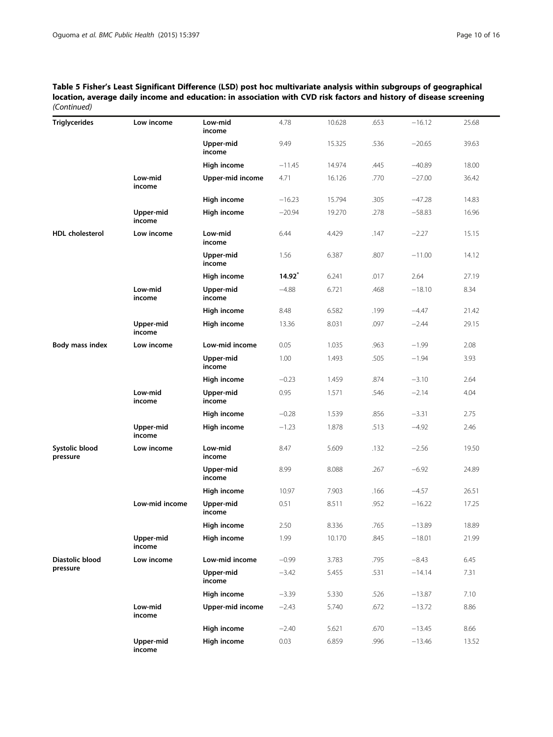| <b>Triglycerides</b>       | Low income          | Low-mid<br>income       | 4.78     | 10.628 | .653 | $-16.12$ | 25.68 |
|----------------------------|---------------------|-------------------------|----------|--------|------|----------|-------|
|                            |                     | Upper-mid<br>income     | 9.49     | 15.325 | .536 | $-20.65$ | 39.63 |
|                            |                     | High income             | $-11.45$ | 14.974 | .445 | $-40.89$ | 18.00 |
|                            | Low-mid<br>income   | <b>Upper-mid income</b> | 4.71     | 16.126 | .770 | $-27.00$ | 36.42 |
|                            |                     | High income             | $-16.23$ | 15.794 | .305 | $-47.28$ | 14.83 |
|                            | Upper-mid<br>income | High income             | $-20.94$ | 19.270 | .278 | $-58.83$ | 16.96 |
| <b>HDL</b> cholesterol     | Low income          | Low-mid<br>income       | 6.44     | 4.429  | .147 | $-2.27$  | 15.15 |
|                            |                     | Upper-mid<br>income     | 1.56     | 6.387  | .807 | $-11.00$ | 14.12 |
|                            |                     | High income             | 14.92    | 6.241  | .017 | 2.64     | 27.19 |
|                            | Low-mid<br>income   | Upper-mid<br>income     | $-4.88$  | 6.721  | .468 | $-18.10$ | 8.34  |
|                            |                     | High income             | 8.48     | 6.582  | .199 | $-4.47$  | 21.42 |
|                            | Upper-mid<br>income | High income             | 13.36    | 8.031  | .097 | $-2.44$  | 29.15 |
| Body mass index            | Low income          | Low-mid income          | 0.05     | 1.035  | .963 | $-1.99$  | 2.08  |
|                            |                     | Upper-mid<br>income     | 1.00     | 1.493  | .505 | $-1.94$  | 3.93  |
|                            |                     | High income             | $-0.23$  | 1.459  | .874 | $-3.10$  | 2.64  |
|                            | Low-mid<br>income   | Upper-mid<br>income     | 0.95     | 1.571  | .546 | $-2.14$  | 4.04  |
|                            |                     | High income             | $-0.28$  | 1.539  | .856 | $-3.31$  | 2.75  |
|                            | Upper-mid<br>income | High income             | $-1.23$  | 1.878  | .513 | $-4.92$  | 2.46  |
| Systolic blood<br>pressure | Low income          | Low-mid<br>income       | 8.47     | 5.609  | .132 | $-2.56$  | 19.50 |
|                            |                     | Upper-mid<br>income     | 8.99     | 8.088  | .267 | $-6.92$  | 24.89 |
|                            |                     | High income             | 10.97    | 7.903  | .166 | $-4.57$  | 26.51 |
|                            | Low-mid income      | Upper-mid<br>income     | 0.51     | 8.511  | .952 | $-16.22$ | 17.25 |
|                            |                     | High income             | 2.50     | 8.336  | .765 | $-13.89$ | 18.89 |
|                            | Upper-mid<br>income | High income             | 1.99     | 10.170 | .845 | $-18.01$ | 21.99 |
| Diastolic blood            | Low income          | Low-mid income          | $-0.99$  | 3.783  | .795 | $-8.43$  | 6.45  |
| pressure                   |                     | Upper-mid<br>income     | $-3.42$  | 5.455  | .531 | $-14.14$ | 7.31  |
|                            |                     | High income             | $-3.39$  | 5.330  | .526 | $-13.87$ | 7.10  |
|                            | Low-mid<br>income   | Upper-mid income        | $-2.43$  | 5.740  | .672 | $-13.72$ | 8.86  |
|                            |                     | High income             | $-2.40$  | 5.621  | .670 | $-13.45$ | 8.66  |
|                            | Upper-mid<br>income | High income             | 0.03     | 6.859  | .996 | $-13.46$ | 13.52 |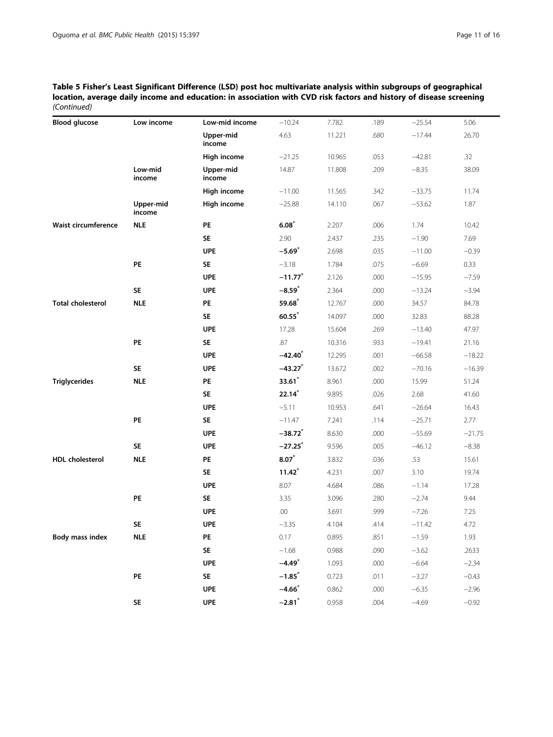| <b>Blood glucose</b>     | Low income          | Low-mid income      | $-10.24$    | 7.782  | .189 | $-25.54$ | 5.06     |
|--------------------------|---------------------|---------------------|-------------|--------|------|----------|----------|
|                          |                     | Upper-mid<br>income | 4.63        | 11.221 | .680 | $-17.44$ | 26.70    |
|                          |                     | High income         | $-21.25$    | 10.965 | .053 | $-42.81$ | .32      |
|                          | Low-mid<br>income   | Upper-mid<br>income | 14.87       | 11.808 | .209 | $-8.35$  | 38.09    |
|                          |                     | High income         | $-11.00$    | 11.565 | .342 | $-33.75$ | 11.74    |
|                          | Upper-mid<br>income | High income         | $-25.88$    | 14.110 | .067 | $-53.62$ | 1.87     |
| Waist circumference      | <b>NLE</b>          | PE.                 | $6.08^*$    | 2.207  | .006 | 1.74     | 10.42    |
|                          |                     | <b>SE</b>           | 2.90        | 2.437  | .235 | $-1.90$  | 7.69     |
|                          |                     | <b>UPE</b>          | $-5.69$     | 2.698  | .035 | $-11.00$ | $-0.39$  |
|                          | PE                  | <b>SE</b>           | $-3.18$     | 1.784  | .075 | $-6.69$  | 0.33     |
|                          |                     | <b>UPE</b>          | $-11.77$    | 2.126  | .000 | $-15.95$ | $-7.59$  |
|                          | <b>SE</b>           | <b>UPE</b>          | $-8.59^{*}$ | 2.364  | .000 | $-13.24$ | $-3.94$  |
| <b>Total cholesterol</b> | <b>NLE</b>          | PE.                 | 59.68       | 12.767 | .000 | 34.57    | 84.78    |
|                          |                     | <b>SE</b>           | 60.55       | 14.097 | .000 | 32.83    | 88.28    |
|                          |                     | <b>UPE</b>          | 17.28       | 15.604 | .269 | $-13.40$ | 47.97    |
|                          | PE                  | <b>SE</b>           | .87         | 10.316 | .933 | $-19.41$ | 21.16    |
|                          |                     | <b>UPE</b>          | $-42.40$    | 12.295 | .001 | $-66.58$ | $-18.22$ |
|                          | SE                  | <b>UPE</b>          | $-43.27$    | 13.672 | .002 | $-70.16$ | $-16.39$ |
| <b>Triglycerides</b>     | <b>NLE</b>          | PE.                 | 33.61       | 8.961  | .000 | 15.99    | 51.24    |
|                          |                     | <b>SE</b>           | $22.14*$    | 9.895  | .026 | 2.68     | 41.60    |
|                          |                     | <b>UPE</b>          | $-5.11$     | 10.953 | .641 | $-26.64$ | 16.43    |
|                          | PE                  | SE                  | $-11.47$    | 7.241  | .114 | $-25.71$ | 2.77     |
|                          |                     | <b>UPE</b>          | $-38.72$    | 8.630  | .000 | $-55.69$ | $-21.75$ |
|                          | SE                  | <b>UPE</b>          | $-27.25$    | 9.596  | .005 | $-46.12$ | $-8.38$  |
| <b>HDL</b> cholesterol   | <b>NLE</b>          | PE.                 | $8.07*$     | 3.832  | .036 | .53      | 15.61    |
|                          |                     | <b>SE</b>           | $11.42*$    | 4.231  | .007 | 3.10     | 19.74    |
|                          |                     | <b>UPE</b>          | 8.07        | 4.684  | .086 | $-1.14$  | 17.28    |
|                          | PE                  | SE                  | 3.35        | 3.096  | .280 | $-2.74$  | 9.44     |
|                          |                     | <b>UPE</b>          | .00         | 3.691  | .999 | $-7.26$  | 7.25     |
|                          | <b>SE</b>           | <b>UPE</b>          | $-3.35$     | 4.104  | .414 | $-11.42$ | 4.72     |
| Body mass index          | <b>NLE</b>          | PE                  | 0.17        | 0.895  | .851 | $-1.59$  | 1.93     |
|                          |                     | SE                  | $-1.68$     | 0.988  | .090 | $-3.62$  | .2633    |
|                          |                     | <b>UPE</b>          | $-4.49$     | 1.093  | .000 | $-6.64$  | $-2.34$  |
|                          | PE                  | SE                  | $-1.85$     | 0.723  | .011 | $-3.27$  | $-0.43$  |
|                          |                     | <b>UPE</b>          | $-4.66$     | 0.862  | .000 | $-6.35$  | $-2.96$  |
|                          | <b>SE</b>           | <b>UPE</b>          | $-2.81$     | 0.958  | .004 | $-4.69$  | $-0.92$  |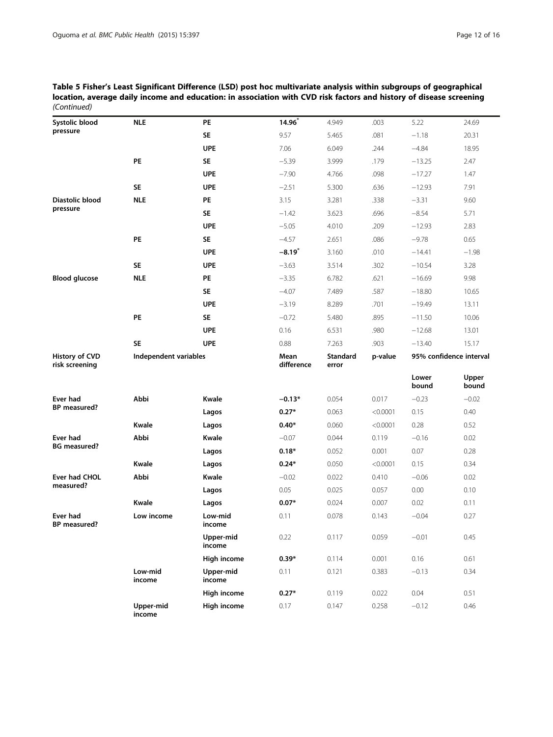| Systolic blood                          | <b>NLE</b>            | PE                  | 14.96              | 4.949                    | .003     | 5.22                    | 24.69          |
|-----------------------------------------|-----------------------|---------------------|--------------------|--------------------------|----------|-------------------------|----------------|
| pressure                                |                       | <b>SE</b>           | 9.57               | 5.465                    | .081     | $-1.18$                 | 20.31          |
|                                         |                       | <b>UPE</b>          | 7.06               | 6.049                    | .244     | $-4.84$                 | 18.95          |
|                                         | PE                    | <b>SE</b>           | $-5.39$            | 3.999                    | .179     | $-13.25$                | 2.47           |
|                                         |                       | <b>UPE</b>          | $-7.90$            | 4.766                    | .098     | $-17.27$                | 1.47           |
|                                         | SE                    | <b>UPE</b>          | $-2.51$            | 5.300                    | .636     | $-12.93$                | 7.91           |
| Diastolic blood                         | <b>NLE</b>            | PE                  | 3.15               | 3.281                    | .338     | $-3.31$                 | 9.60           |
| pressure                                |                       | <b>SE</b>           | $-1.42$            | 3.623                    | .696     | $-8.54$                 | 5.71           |
|                                         |                       | <b>UPE</b>          | $-5.05$            | 4.010                    | .209     | $-12.93$                | 2.83           |
|                                         | PE                    | <b>SE</b>           | $-4.57$            | 2.651                    | .086     | $-9.78$                 | 0.65           |
|                                         |                       | <b>UPE</b>          | $-8.19$            | 3.160                    | .010     | $-14.41$                | $-1.98$        |
|                                         | SE                    | <b>UPE</b>          | $-3.63$            | 3.514                    | .302     | $-10.54$                | 3.28           |
| <b>Blood glucose</b>                    | <b>NLE</b>            | PE                  | $-3.35$            | 6.782                    | .621     | $-16.69$                | 9.98           |
|                                         |                       | <b>SE</b>           | $-4.07$            | 7.489                    | .587     | $-18.80$                | 10.65          |
|                                         |                       | <b>UPE</b>          | $-3.19$            | 8.289                    | .701     | $-19.49$                | 13.11          |
|                                         | PE                    | <b>SE</b>           | $-0.72$            | 5.480                    | .895     | $-11.50$                | 10.06          |
|                                         |                       | <b>UPE</b>          | 0.16               | 6.531                    | .980     | $-12.68$                | 13.01          |
|                                         | <b>SE</b>             | <b>UPE</b>          | 0.88               | 7.263                    | .903     | $-13.40$                | 15.17          |
| <b>History of CVD</b><br>risk screening | Independent variables |                     | Mean<br>difference | <b>Standard</b><br>error | p-value  | 95% confidence interval |                |
|                                         |                       |                     |                    |                          |          | Lower<br>bound          | Upper<br>bound |
| Ever had                                | Abbi                  | Kwale               | $-0.13*$           | 0.054                    | 0.017    | $-0.23$                 | $-0.02$        |
| <b>BP</b> measured?                     |                       | Lagos               | $0.27*$            | 0.063                    | < 0.0001 | 0.15                    | 0.40           |
|                                         | Kwale                 | Lagos               | $0.40*$            | 0.060                    | < 0.0001 | 0.28                    | 0.52           |
| Ever had                                | Abbi                  | Kwale               | $-0.07$            | 0.044                    | 0.119    | $-0.16$                 | 0.02           |
| <b>BG</b> measured?                     |                       | Lagos               | $0.18*$            | 0.052                    | 0.001    | 0.07                    | 0.28           |
|                                         | Kwale                 | Lagos               | $0.24*$            | 0.050                    | < 0.0001 | 0.15                    | 0.34           |
| Ever had CHOL                           | Abbi                  | Kwale               | $-0.02$            | 0.022                    | 0.410    | $-0.06$                 | 0.02           |
| measured?                               |                       | Lagos               | 0.05               | 0.025                    | 0.057    | 0.00                    | 0.10           |
|                                         | Kwale                 | Lagos               | $0.07*$            | 0.024                    | 0.007    | 0.02                    | 0.11           |
| Ever had<br><b>BP</b> measured?         | Low income            | Low-mid<br>income   | 0.11               | 0.078                    | 0.143    | $-0.04$                 | 0.27           |
|                                         |                       | Upper-mid<br>income | 0.22               | 0.117                    | 0.059    | $-0.01$                 | 0.45           |
|                                         |                       | High income         | $0.39*$            | 0.114                    | 0.001    | 0.16                    | 0.61           |
|                                         | Low-mid<br>income     | Upper-mid<br>income | 0.11               | 0.121                    | 0.383    | $-0.13$                 | 0.34           |
|                                         |                       | High income         | $0.27*$            | 0.119                    | 0.022    | 0.04                    | 0.51           |
|                                         | Upper-mid<br>income   | High income         | 0.17               | 0.147                    | 0.258    | $-0.12$                 | 0.46           |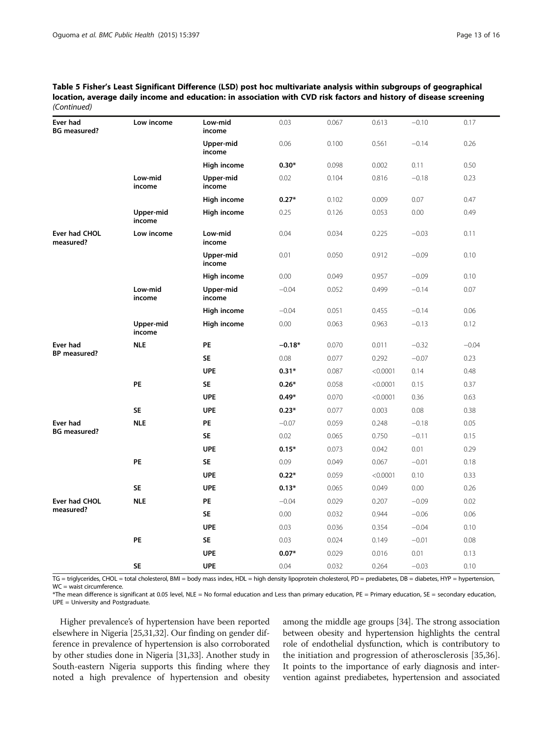| Ever had<br><b>BG</b> measured? | Low income          | Low-mid<br>income   | 0.03     | 0.067 | 0.613    | $-0.10$ | 0.17    |
|---------------------------------|---------------------|---------------------|----------|-------|----------|---------|---------|
|                                 |                     | Upper-mid<br>income | 0.06     | 0.100 | 0.561    | $-0.14$ | 0.26    |
|                                 |                     | High income         | $0.30*$  | 0.098 | 0.002    | 0.11    | 0.50    |
|                                 | Low-mid<br>income   | Upper-mid<br>income | 0.02     | 0.104 | 0.816    | $-0.18$ | 0.23    |
|                                 |                     | High income         | $0.27*$  | 0.102 | 0.009    | 0.07    | 0.47    |
|                                 | Upper-mid<br>income | High income         | 0.25     | 0.126 | 0.053    | 0.00    | 0.49    |
| Ever had CHOL<br>measured?      | Low income          | Low-mid<br>income   | 0.04     | 0.034 | 0.225    | $-0.03$ | 0.11    |
|                                 |                     | Upper-mid<br>income | 0.01     | 0.050 | 0.912    | $-0.09$ | 0.10    |
|                                 |                     | High income         | 0.00     | 0.049 | 0.957    | $-0.09$ | 0.10    |
|                                 | Low-mid<br>income   | Upper-mid<br>income | $-0.04$  | 0.052 | 0.499    | $-0.14$ | 0.07    |
|                                 |                     | High income         | $-0.04$  | 0.051 | 0.455    | $-0.14$ | 0.06    |
|                                 | Upper-mid<br>income | High income         | 0.00     | 0.063 | 0.963    | $-0.13$ | 0.12    |
| Ever had                        | <b>NLE</b>          | PE                  | $-0.18*$ | 0.070 | 0.011    | $-0.32$ | $-0.04$ |
| BP measured?                    |                     | <b>SE</b>           | 0.08     | 0.077 | 0.292    | $-0.07$ | 0.23    |
|                                 |                     | <b>UPE</b>          | $0.31*$  | 0.087 | < 0.0001 | 0.14    | 0.48    |
|                                 | PE                  | <b>SE</b>           | $0.26*$  | 0.058 | < 0.0001 | 0.15    | 0.37    |
|                                 |                     | <b>UPE</b>          | $0.49*$  | 0.070 | < 0.0001 | 0.36    | 0.63    |
|                                 | <b>SE</b>           | <b>UPE</b>          | $0.23*$  | 0.077 | 0.003    | 0.08    | 0.38    |
| Ever had                        | <b>NLE</b>          | PE                  | $-0.07$  | 0.059 | 0.248    | $-0.18$ | 0.05    |
| <b>BG</b> measured?             |                     | <b>SE</b>           | 0.02     | 0.065 | 0.750    | $-0.11$ | 0.15    |
|                                 |                     | <b>UPE</b>          | $0.15*$  | 0.073 | 0.042    | 0.01    | 0.29    |
|                                 | PE                  | <b>SE</b>           | 0.09     | 0.049 | 0.067    | $-0.01$ | 0.18    |
|                                 |                     | <b>UPE</b>          | $0.22*$  | 0.059 | < 0.0001 | 0.10    | 0.33    |
|                                 | <b>SE</b>           | <b>UPE</b>          | $0.13*$  | 0.065 | 0.049    | 0.00    | 0.26    |
| Ever had CHOL                   | <b>NLE</b>          | PE                  | $-0.04$  | 0.029 | 0.207    | $-0.09$ | 0.02    |
| measured?                       |                     | <b>SE</b>           | 0.00     | 0.032 | 0.944    | $-0.06$ | 0.06    |
|                                 |                     | <b>UPE</b>          | 0.03     | 0.036 | 0.354    | $-0.04$ | 0.10    |
|                                 | PE                  | <b>SE</b>           | 0.03     | 0.024 | 0.149    | $-0.01$ | 0.08    |
|                                 |                     | <b>UPE</b>          | $0.07*$  | 0.029 | 0.016    | 0.01    | 0.13    |
|                                 | <b>SE</b>           | <b>UPE</b>          | 0.04     | 0.032 | 0.264    | $-0.03$ | 0.10    |

TG = triglycerides, CHOL = total cholesterol, BMI = body mass index, HDL = high density lipoprotein cholesterol, PD = prediabetes, DB = diabetes, HYP = hypertension, WC = waist circumference.

\*The mean difference is significant at 0.05 level, NLE = No formal education and Less than primary education, PE = Primary education, SE = secondary education, UPE = University and Postgraduate.

Higher prevalence's of hypertension have been reported elsewhere in Nigeria [\[25](#page-14-0)[,31,32](#page-15-0)]. Our finding on gender difference in prevalence of hypertension is also corroborated by other studies done in Nigeria [\[31,33\]](#page-15-0). Another study in South-eastern Nigeria supports this finding where they noted a high prevalence of hypertension and obesity

among the middle age groups [\[34\]](#page-15-0). The strong association between obesity and hypertension highlights the central role of endothelial dysfunction, which is contributory to the initiation and progression of atherosclerosis [[35,36](#page-15-0)]. It points to the importance of early diagnosis and intervention against prediabetes, hypertension and associated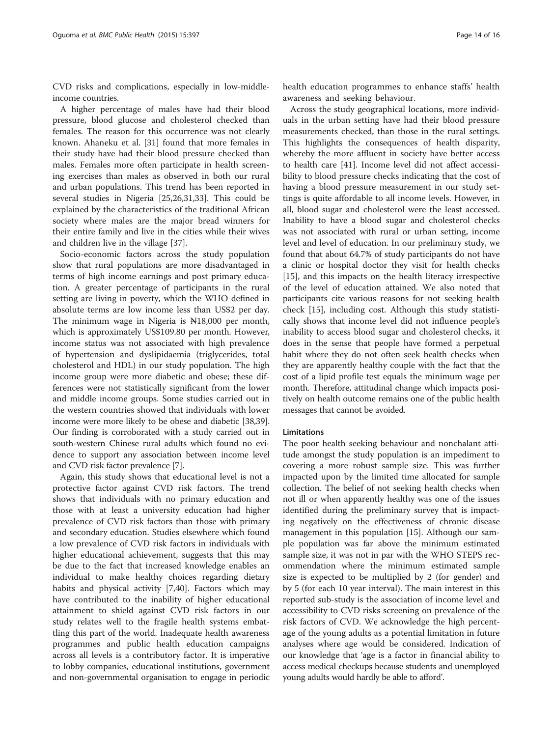CVD risks and complications, especially in low-middleincome countries.

A higher percentage of males have had their blood pressure, blood glucose and cholesterol checked than females. The reason for this occurrence was not clearly known. Ahaneku et al. [\[31](#page-15-0)] found that more females in their study have had their blood pressure checked than males. Females more often participate in health screening exercises than males as observed in both our rural and urban populations. This trend has been reported in several studies in Nigeria [\[25,26,](#page-14-0)[31,33\]](#page-15-0). This could be explained by the characteristics of the traditional African society where males are the major bread winners for their entire family and live in the cities while their wives and children live in the village [[37\]](#page-15-0).

Socio-economic factors across the study population show that rural populations are more disadvantaged in terms of high income earnings and post primary education. A greater percentage of participants in the rural setting are living in poverty, which the WHO defined in absolute terms are low income less than US\$2 per day. The minimum wage in Nigeria is N18,000 per month, which is approximately US\$109.80 per month. However, income status was not associated with high prevalence of hypertension and dyslipidaemia (triglycerides, total cholesterol and HDL) in our study population. The high income group were more diabetic and obese; these differences were not statistically significant from the lower and middle income groups. Some studies carried out in the western countries showed that individuals with lower income were more likely to be obese and diabetic [\[38,39](#page-15-0)]. Our finding is corroborated with a study carried out in south-western Chinese rural adults which found no evidence to support any association between income level and CVD risk factor prevalence [[7](#page-14-0)].

Again, this study shows that educational level is not a protective factor against CVD risk factors. The trend shows that individuals with no primary education and those with at least a university education had higher prevalence of CVD risk factors than those with primary and secondary education. Studies elsewhere which found a low prevalence of CVD risk factors in individuals with higher educational achievement, suggests that this may be due to the fact that increased knowledge enables an individual to make healthy choices regarding dietary habits and physical activity [[7,](#page-14-0)[40\]](#page-15-0). Factors which may have contributed to the inability of higher educational attainment to shield against CVD risk factors in our study relates well to the fragile health systems embattling this part of the world. Inadequate health awareness programmes and public health education campaigns across all levels is a contributory factor. It is imperative to lobby companies, educational institutions, government and non-governmental organisation to engage in periodic health education programmes to enhance staffs' health awareness and seeking behaviour.

Across the study geographical locations, more individuals in the urban setting have had their blood pressure measurements checked, than those in the rural settings. This highlights the consequences of health disparity, whereby the more affluent in society have better access to health care [\[41\]](#page-15-0). Income level did not affect accessibility to blood pressure checks indicating that the cost of having a blood pressure measurement in our study settings is quite affordable to all income levels. However, in all, blood sugar and cholesterol were the least accessed. Inability to have a blood sugar and cholesterol checks was not associated with rural or urban setting, income level and level of education. In our preliminary study, we found that about 64.7% of study participants do not have a clinic or hospital doctor they visit for health checks [[15\]](#page-14-0), and this impacts on the health literacy irrespective of the level of education attained. We also noted that participants cite various reasons for not seeking health check [[15](#page-14-0)], including cost. Although this study statistically shows that income level did not influence people's inability to access blood sugar and cholesterol checks, it does in the sense that people have formed a perpetual habit where they do not often seek health checks when they are apparently healthy couple with the fact that the cost of a lipid profile test equals the minimum wage per month. Therefore, attitudinal change which impacts positively on health outcome remains one of the public health messages that cannot be avoided.

#### Limitations

The poor health seeking behaviour and nonchalant attitude amongst the study population is an impediment to covering a more robust sample size. This was further impacted upon by the limited time allocated for sample collection. The belief of not seeking health checks when not ill or when apparently healthy was one of the issues identified during the preliminary survey that is impacting negatively on the effectiveness of chronic disease management in this population [[15\]](#page-14-0). Although our sample population was far above the minimum estimated sample size, it was not in par with the WHO STEPS recommendation where the minimum estimated sample size is expected to be multiplied by 2 (for gender) and by 5 (for each 10 year interval). The main interest in this reported sub-study is the association of income level and accessibility to CVD risks screening on prevalence of the risk factors of CVD. We acknowledge the high percentage of the young adults as a potential limitation in future analyses where age would be considered. Indication of our knowledge that 'age is a factor in financial ability to access medical checkups because students and unemployed young adults would hardly be able to afford'.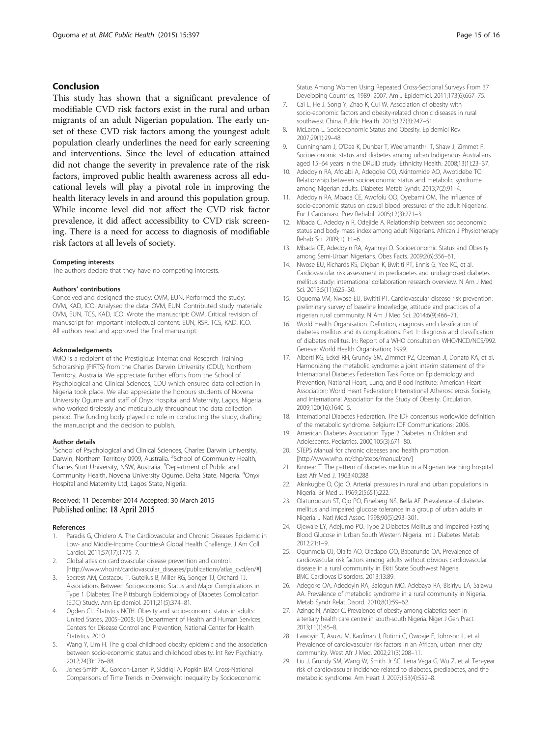## <span id="page-14-0"></span>Conclusion

This study has shown that a significant prevalence of modifiable CVD risk factors exist in the rural and urban migrants of an adult Nigerian population. The early unset of these CVD risk factors among the youngest adult population clearly underlines the need for early screening and interventions. Since the level of education attained did not change the severity in prevalence rate of the risk factors, improved public health awareness across all educational levels will play a pivotal role in improving the health literacy levels in and around this population group. While income level did not affect the CVD risk factor prevalence, it did affect accessibility to CVD risk screening. There is a need for access to diagnosis of modifiable risk factors at all levels of society.

#### Competing interests

The authors declare that they have no competing interests.

#### Authors' contributions

Conceived and designed the study: OVM, EUN. Performed the study: OVM, KAD, ICO. Analysed the data: OVM, EUN. Contributed study materials: OVM, EUN, TCS, KAD, ICO. Wrote the manuscript: OVM. Critical revision of manuscript for important intellectual content: EUN, RSR, TCS, KAD, ICO. All authors read and approved the final manuscript.

#### Acknowledgements

VMO is a recipient of the Prestigious International Research Training Scholarship (PIRTS) from the Charles Darwin University (CDU), Northern Territory, Australia. We appreciate further efforts from the School of Psychological and Clinical Sciences, CDU which ensured data collection in Nigeria took place. We also appreciate the honours students of Novena University Ogume and staff of Onyx Hospital and Maternity, Lagos, Nigeria who worked tirelessly and meticulously throughout the data collection period. The funding body played no role in conducting the study, drafting the manuscript and the decision to publish.

#### Author details

<sup>1</sup>School of Psychological and Clinical Sciences, Charles Darwin University, Darwin, Northern Territory 0909, Australia. <sup>2</sup>School of Community Health, Charles Sturt University, NSW, Australia. <sup>3</sup>Department of Public and Community Health, Novena University Ogume, Delta State, Nigeria. <sup>4</sup>Onyx Hospital and Maternity Ltd, Lagos State, Nigeria.

#### Received: 11 December 2014 Accepted: 30 March 2015 Published online: 18 April 2015

#### References

- 1. Paradis G, Chiolero A. The Cardiovascular and Chronic Diseases Epidemic in Low- and Middle-Income CountriesA Global Health Challenge. J Am Coll Cardiol. 2011;57(17):1775–7.
- 2. Global atlas on cardiovascular disease prevention and control. [[http://www.who.int/cardiovascular\\_diseases/publications/atlas\\_cvd/en/#\]](http://www.who.int/cardiovascular_diseases/publications/atlas_cvd/en/#)
- Secrest AM, Costacou T, Gutelius B, Miller RG, Songer TJ, Orchard TJ. Associations Between Socioeconomic Status and Major Complications in Type 1 Diabetes: The Pittsburgh Epidemiology of Diabetes Complication (EDC) Study. Ann Epidemiol. 2011;21(5):374–81.
- 4. Ogden CL, Statistics NCfH. Obesity and socioeconomic status in adults: United States, 2005–2008: US Department of Health and Human Services, Centers for Disease Control and Prevention, National Center for Health Statistics. 2010.
- 5. Wang Y, Lim H. The global childhood obesity epidemic and the association between socio-economic status and childhood obesity. Int Rev Psychiatry. 2012;24(3):176–88.
- 6. Jones-Smith JC, Gordon-Larsen P, Siddiqi A, Popkin BM. Cross-National Comparisons of Time Trends in Overweight Inequality by Socioeconomic
- 7. Cai L, He J, Song Y, Zhao K, Cui W. Association of obesity with socio-economic factors and obesity-related chronic diseases in rural southwest China. Public Health. 2013;127(3):247–51.
- 8. McLaren L. Socioeconomic Status and Obesity. Epidemiol Rev. 2007;29(1):29–48.
- 9. Cunningham J, O'Dea K, Dunbar T, Weeramanthri T, Shaw J, Zimmet P. Socioeconomic status and diabetes among urban Indigenous Australians aged 15–64 years in the DRUID study. Ethnicity Health. 2008;13(1):23–37.
- 10. Adedoyin RA, Afolabi A, Adegoke OO, Akintomide AO, Awotidebe TO. Relationship between socioeconomic status and metabolic syndrome among Nigerian adults. Diabetes Metab Syndr. 2013;7(2):91–4.
- 11. Adedoyin RA, Mbada CE, Awofolu OO, Oyebami OM. The influence of socio-economic status on casual blood pressures of the adult Nigerians. Eur J Cardiovasc Prev Rehabil. 2005;12(3):271–3.
- 12. Mbada C, Adedoyin R, Odejide A. Relationship between socioeconomic status and body mass index among adult Nigerians. African J Physiotherapy Rehab Sci. 2009;1(1):1–6.
- 13. Mbada CE, Adedoyin RA, Ayanniyi O. Socioeconomic Status and Obesity among Semi-Urban Nigerians. Obes Facts. 2009;2(6):356–61.
- 14. Nwose EU, Richards RS, Digban K, Bwititi PT, Ennis G, Yee KC, et al. Cardiovascular risk assessment in prediabetes and undiagnosed diabetes mellitus study: international collaboration research overview. N Am J Med Sci. 2013;5(11):625–30.
- 15. Oguoma VM, Nwose EU, Bwititi PT. Cardiovascular disease risk prevention: preliminary survey of baseline knowledge, attitude and practices of a nigerian rural community. N Am J Med Sci. 2014;6(9):466–71.
- 16. World Health Organisation. Definition, diagnosis and classification of diabetes mellitus and its complications. Part 1: diagnosis and classification of diabetes mellitus. In: Report of a WHO consultation WHO/NCD/NCS/992. Geneva: World Health Organisation; 1999.
- 17. Alberti KG, Eckel RH, Grundy SM, Zimmet PZ, Cleeman JI, Donato KA, et al. Harmonizing the metabolic syndrome: a joint interim statement of the International Diabetes Federation Task Force on Epidemiology and Prevention; National Heart, Lung, and Blood Institute; American Heart Association; World Heart Federation; International Atherosclerosis Society; and International Association for the Study of Obesity. Circulation. 2009;120(16):1640–5.
- 18. International Diabetes Federation. The IDF consensus worldwide definition of the metabolic syndrome. Belgium: IDF Communications; 2006.
- 19. American Diabetes Association. Type 2 Diabetes in Children and Adolescents. Pediatrics. 2000;105(3):671–80.
- 20. STEPS Manual for chronic diseases and health promotion. [<http://www.who.int/chp/steps/manual/en/>]
- 21. Kinnear T. The pattern of diabetes mellitus in a Nigerian teaching hospital. East Afr Med J. 1963;40:288.
- 22. Akinkugbe O, Ojo O. Arterial pressures in rural and urban populations in Nigeria. Br Med J. 1969;2(5651):222.
- 23. Olatunbosun ST, Ojo PO, Fineberg NS, Bella AF. Prevalence of diabetes mellitus and impaired glucose tolerance in a group of urban adults in Nigeria. J Natl Med Assoc. 1998;90(5):293–301.
- 24. Ojewale LY, Adejumo PO. Type 2 Diabetes Mellitus and Impaired Fasting Blood Glucose in Urban South Western Nigeria. Int J Diabetes Metab. 2012;21:1–9.
- 25. Ogunmola OJ, Olaifa AO, Oladapo OO, Babatunde OA. Prevalence of cardiovascular risk factors among adults without obvious cardiovascular disease in a rural community in Ekiti State Southwest Nigeria. BMC Cardiovas Disorders. 2013;13:89.
- 26. Adegoke OA, Adedoyin RA, Balogun MO, Adebayo RA, Bisiriyu LA, Salawu AA. Prevalence of metabolic syndrome in a rural community in Nigeria. Metab Syndr Relat Disord. 2010;8(1):59–62.
- 27. Azinge N, Anizor C. Prevalence of obesity among diabetics seen in a tertiary health care centre in south-south Nigeria. Niger J Gen Pract. 2013;11(1):45–8.
- 28. Lawoyin T, Asuzu M, Kaufman J, Rotimi C, Owoaje E, Johnson L, et al. Prevalence of cardiovascular risk factors in an African, urban inner city community. West Afr J Med. 2002;21(3):208–11.
- 29. Liu J, Grundy SM, Wang W, Smith Jr SC, Lena Vega G, Wu Z, et al. Ten-year risk of cardiovascular incidence related to diabetes, prediabetes, and the metabolic syndrome. Am Heart J. 2007;153(4):552–8.